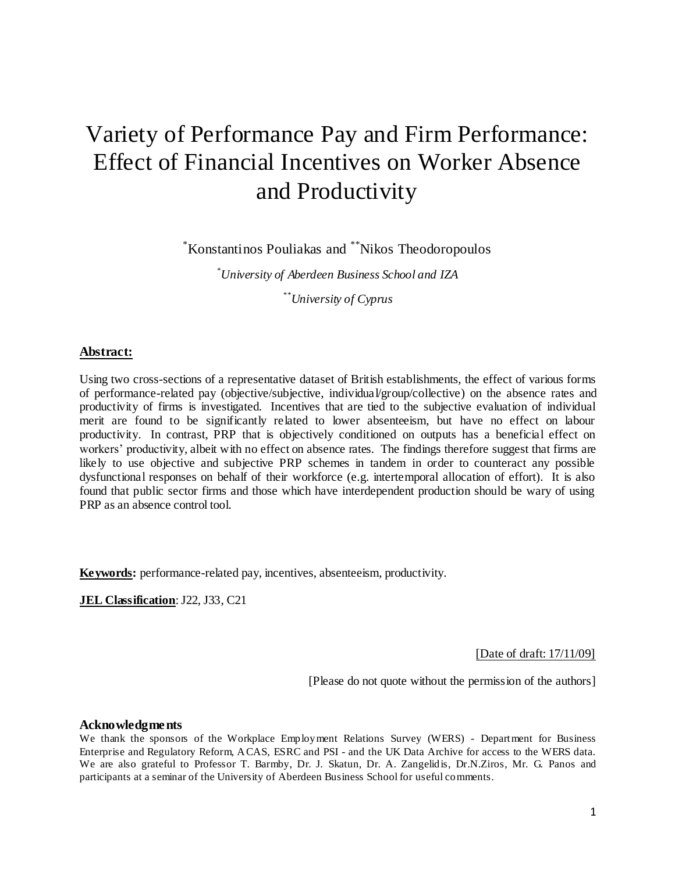# Variety of Performance Pay and Firm Performance: Effect of Financial Incentives on Worker Absence and Productivity

\*Konstantinos Pouliakas and *\*\**Nikos Theodoropoulos

*\*University of Aberdeen Business School and IZA*

*\*\*University of Cyprus*

# **Abstract:**

Using two cross-sections of a representative dataset of British establishments, the effect of various forms of performance-related pay (objective/subjective, individual/group/collective) on the absence rates and productivity of firms is investigated. Incentives that are tied to the subjective evaluation of individual merit are found to be significantly related to lower absenteeism, but have no effect on labour productivity. In contrast, PRP that is objectively conditioned on outputs has a beneficial effect on workers" productivity, albeit with no effect on absence rates. The findings therefore suggest that firms are likely to use objective and subjective PRP schemes in tandem in order to counteract any possible dysfunctional responses on behalf of their workforce (e.g. intertemporal allocation of effort). It is also found that public sector firms and those which have interdependent production should be wary of using PRP as an absence control tool.

**Keywords:** performance-related pay, incentives, absenteeism, productivity.

**JEL Classification: J22, J33, C21** 

[Date of draft: 17/11/09]

[Please do not quote without the permission of the authors]

### **Acknowledgments**

We thank the sponsors of the Workplace Employment Relations Survey (WERS) - Department for Business Enterprise and Regulatory Reform, ACAS, ESRC and PSI - and the UK Data Archive for access to the WERS data. We are also grateful to Professor T. Barmby, Dr. J. Skatun, Dr. A. Zangelidis, Dr.N.Ziros, Mr. G. Panos and participants at a seminar of the University of Aberdeen Business School for useful comments.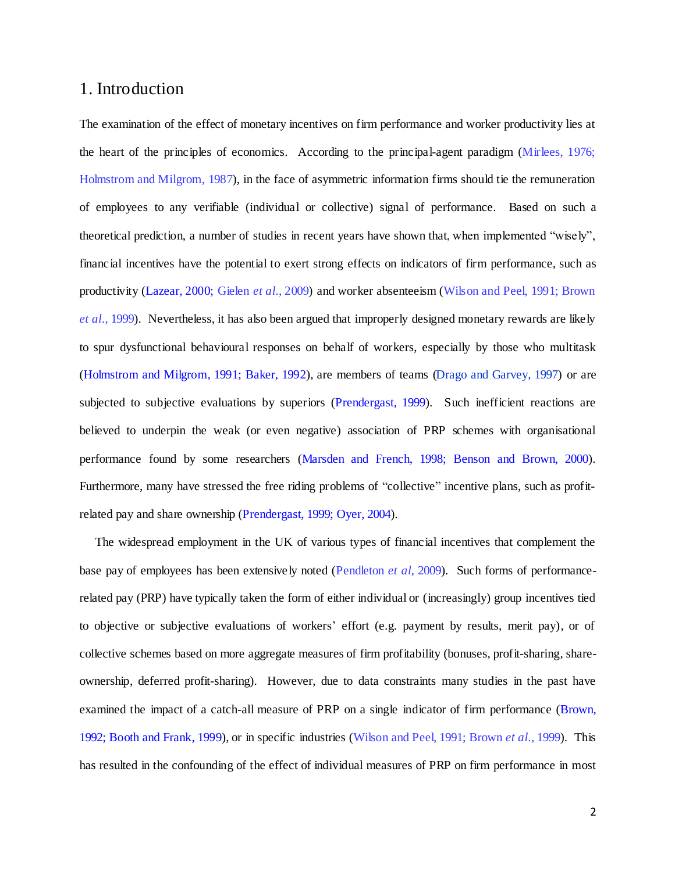# 1. Introduction

The examination of the effect of monetary incentives on firm performance and worker productivity lies at the heart of the principles of economics. According to the principal-agent paradigm (Mirlees, 1976; Holmstrom and Milgrom, 1987), in the face of asymmetric information firms should tie the remuneration of employees to any verifiable (individual or collective) signal of performance. Based on such a theoretical prediction, a number of studies in recent years have shown that, when implemented "wisely", financial incentives have the potential to exert strong effects on indicators of firm performance, such as productivity (Lazear, 2000; Gielen *et al*., 2009) and worker absenteeism (Wilson and Peel, 1991; Brown *et al*., 1999). Nevertheless, it has also been argued that improperly designed monetary rewards are likely to spur dysfunctional behavioural responses on behalf of workers, especially by those who multitask (Holmstrom and Milgrom, 1991; Baker, 1992), are members of teams (Drago and Garvey, 1997) or are subjected to subjective evaluations by superiors (Prendergast, 1999). Such inefficient reactions are believed to underpin the weak (or even negative) association of PRP schemes with organisational performance found by some researchers (Marsden and French, 1998; Benson and Brown, 2000). Furthermore, many have stressed the free riding problems of "collective" incentive plans, such as profitrelated pay and share ownership (Prendergast, 1999; Oyer, 2004).

The widespread employment in the UK of various types of financial incentives that complement the base pay of employees has been extensively noted (Pendleton *et al*, 2009). Such forms of performancerelated pay (PRP) have typically taken the form of either individual or (increasingly) group incentives tied to objective or subjective evaluations of workers' effort (e.g. payment by results, merit pay), or of collective schemes based on more aggregate measures of firm profitability (bonuses, profit-sharing, shareownership, deferred profit-sharing). However, due to data constraints many studies in the past have examined the impact of a catch-all measure of PRP on a single indicator of firm performance (Brown, 1992; Booth and Frank, 1999), or in specific industries (Wilson and Peel, 1991; Brown *et al*., 1999). This has resulted in the confounding of the effect of individual measures of PRP on firm performance in most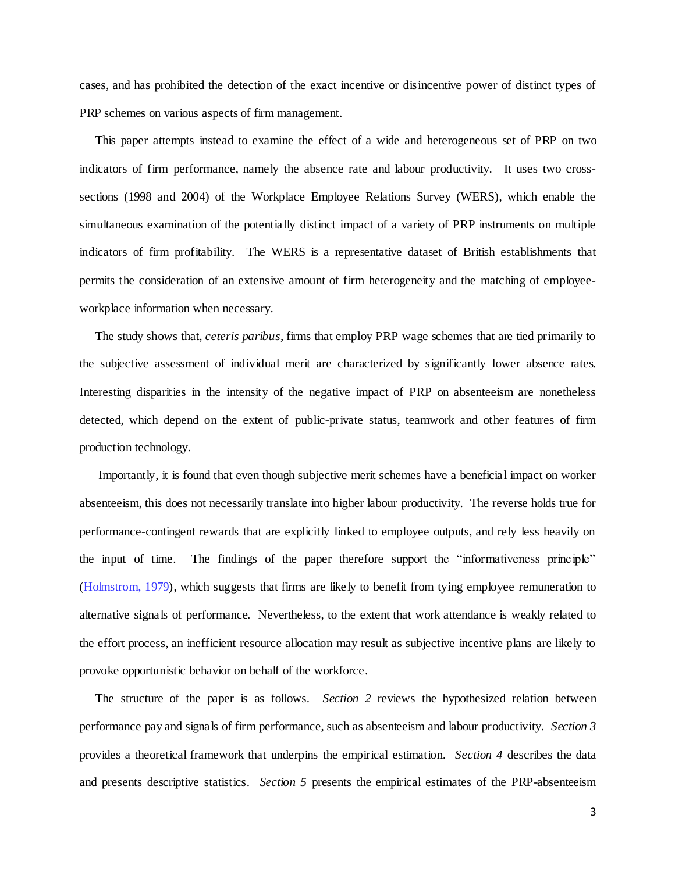cases, and has prohibited the detection of the exact incentive or disincentive power of distinct types of PRP schemes on various aspects of firm management.

This paper attempts instead to examine the effect of a wide and heterogeneous set of PRP on two indicators of firm performance, namely the absence rate and labour productivity. It uses two crosssections (1998 and 2004) of the Workplace Employee Relations Survey (WERS), which enable the simultaneous examination of the potentially distinct impact of a variety of PRP instruments on multiple indicators of firm profitability. The WERS is a representative dataset of British establishments that permits the consideration of an extensive amount of firm heterogeneity and the matching of employeeworkplace information when necessary.

The study shows that, *ceteris paribus*, firms that employ PRP wage schemes that are tied primarily to the subjective assessment of individual merit are characterized by significantly lower absence rates. Interesting disparities in the intensity of the negative impact of PRP on absenteeism are nonetheless detected, which depend on the extent of public-private status, teamwork and other features of firm production technology.

Importantly, it is found that even though subjective merit schemes have a beneficial impact on worker absenteeism, this does not necessarily translate into higher labour productivity. The reverse holds true for performance-contingent rewards that are explicitly linked to employee outputs, and rely less heavily on the input of time. The findings of the paper therefore support the "informativeness principle" (Holmstrom, 1979), which suggests that firms are likely to benefit from tying employee remuneration to alternative signals of performance. Nevertheless, to the extent that work attendance is weakly related to the effort process, an inefficient resource allocation may result as subjective incentive plans are likely to provoke opportunistic behavior on behalf of the workforce.

The structure of the paper is as follows. *Section 2* reviews the hypothesized relation between performance pay and signals of firm performance, such as absenteeism and labour productivity. *Section 3* provides a theoretical framework that underpins the empirical estimation. *Section 4* describes the data and presents descriptive statistics. *Section 5* presents the empirical estimates of the PRP-absenteeism

3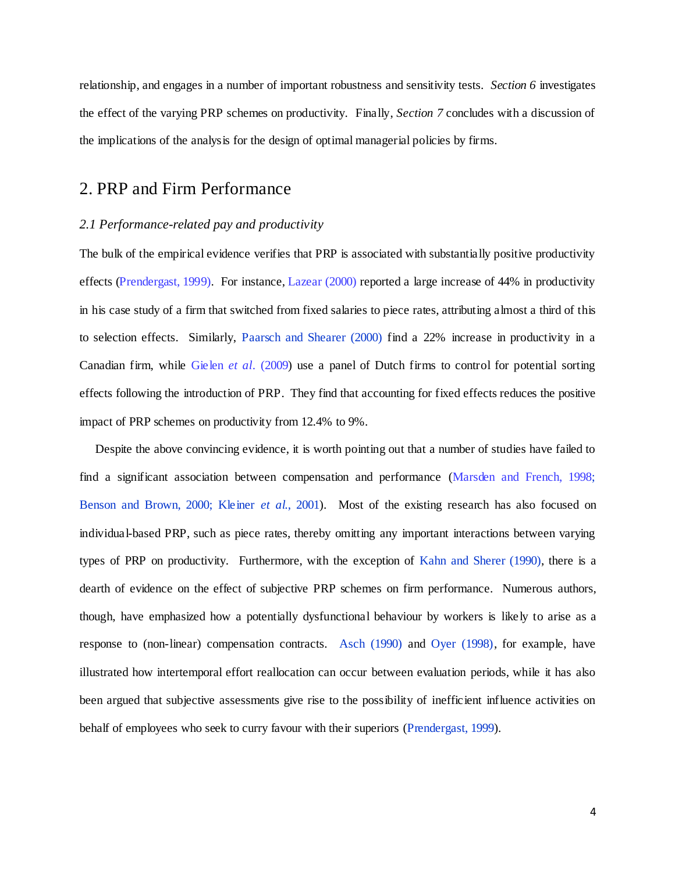relationship, and engages in a number of important robustness and sensitivity tests. *Section 6* investigates the effect of the varying PRP schemes on productivity. Finally, *Section 7* concludes with a discussion of the implications of the analysis for the design of optimal managerial policies by firms.

# 2. PRP and Firm Performance

# *2.1 Performance-related pay and productivity*

The bulk of the empirical evidence verifies that PRP is associated with substantially positive productivity effects (Prendergast, 1999). For instance, Lazear (2000) reported a large increase of 44% in productivity in his case study of a firm that switched from fixed salaries to piece rates, attributing almost a third of this to selection effects. Similarly, Paarsch and Shearer (2000) find a 22% increase in productivity in a Canadian firm, while Gielen *et al*. (2009) use a panel of Dutch firms to control for potential sorting effects following the introduction of PRP. They find that accounting for fixed effects reduces the positive impact of PRP schemes on productivity from 12.4% to 9%.

Despite the above convincing evidence, it is worth pointing out that a number of studies have failed to find a significant association between compensation and performance (Marsden and French, 1998; Benson and Brown, 2000; Kleiner *et al*., 2001). Most of the existing research has also focused on individual-based PRP, such as piece rates, thereby omitting any important interactions between varying types of PRP on productivity. Furthermore, with the exception of Kahn and Sherer (1990), there is a dearth of evidence on the effect of subjective PRP schemes on firm performance. Numerous authors, though, have emphasized how a potentially dysfunctional behaviour by workers is likely to arise as a response to (non-linear) compensation contracts. Asch (1990) and Oyer (1998), for example, have illustrated how intertemporal effort reallocation can occur between evaluation periods, while it has also been argued that subjective assessments give rise to the possibility of inefficient influence activities on behalf of employees who seek to curry favour with their superiors (Prendergast, 1999).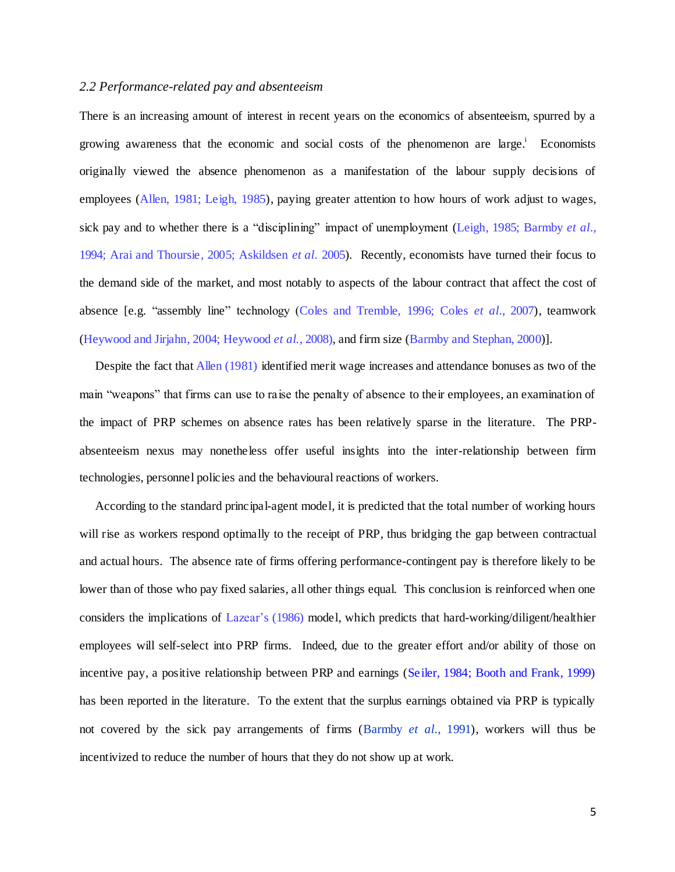#### *2.2 Performance-related pay and absenteeism*

There is an increasing amount of interest in recent years on the economics of absenteeism, spurred by a growing awareness that the economic and social costs of the phenomenon are large.<sup>i</sup> Economists originally viewed the absence phenomenon as a manifestation of the labour supply decisions of employees (Allen, 1981; Leigh, 1985), paying greater attention to how hours of work adjust to wages, sick pay and to whether there is a "disciplining" impact of unemployment (Leigh, 1985; Barmby *et al*., 1994; Arai and Thoursie, 2005; Askildsen *et al*. 2005). Recently, economists have turned their focus to the demand side of the market, and most notably to aspects of the labour contract that affect the cost of absence [e.g. "assembly line" technology (Coles and Tremble, 1996; Coles *et al*., 2007), teamwork (Heywood and Jirjahn, 2004; Heywood *et al.*, 2008), and firm size (Barmby and Stephan, 2000)].

Despite the fact that Allen (1981) identified merit wage increases and attendance bonuses as two of the main "weapons" that firms can use to raise the penalty of absence to their employees, an examination of the impact of PRP schemes on absence rates has been relatively sparse in the literature. The PRPabsenteeism nexus may nonetheless offer useful insights into the inter-relationship between firm technologies, personnel policies and the behavioural reactions of workers.

According to the standard principal-agent model, it is predicted that the total number of working hours will rise as workers respond optimally to the receipt of PRP, thus bridging the gap between contractual and actual hours. The absence rate of firms offering performance-contingent pay is therefore likely to be lower than of those who pay fixed salaries, all other things equal. This conclusion is reinforced when one considers the implications of Lazear's (1986) model, which predicts that hard-working/diligent/healthier employees will self-select into PRP firms. Indeed, due to the greater effort and/or ability of those on incentive pay, a positive relationship between PRP and earnings (Seiler, 1984; Booth and Frank, 1999) has been reported in the literature. To the extent that the surplus earnings obtained via PRP is typically not covered by the sick pay arrangements of firms (Barmby *et al*., 1991), workers will thus be incentivized to reduce the number of hours that they do not show up at work.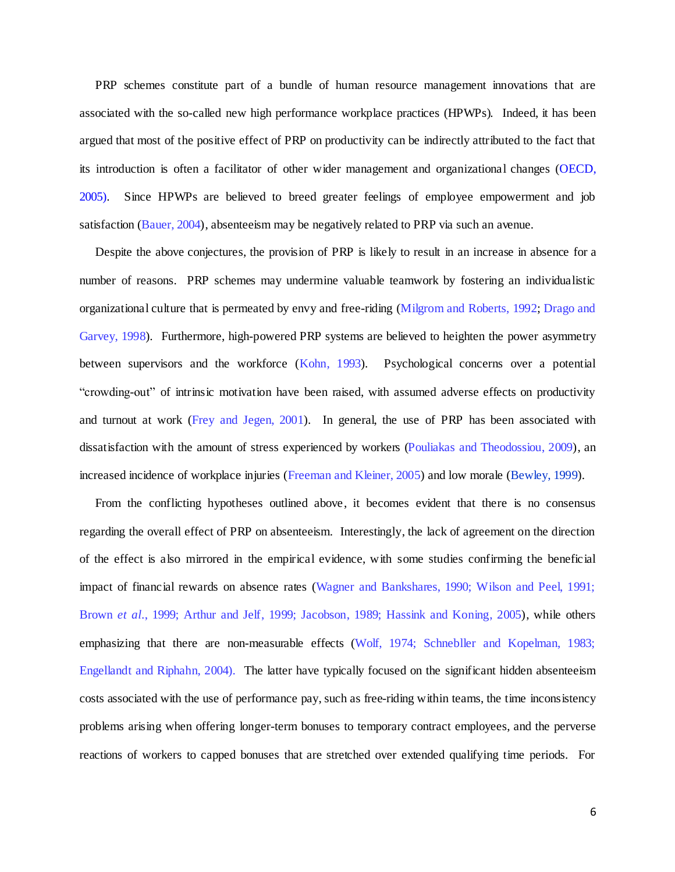PRP schemes constitute part of a bundle of human resource management innovations that are associated with the so-called new high performance workplace practices (HPWPs). Indeed, it has been argued that most of the positive effect of PRP on productivity can be indirectly attributed to the fact that its introduction is often a facilitator of other wider management and organizational changes (OECD, 2005). Since HPWPs are believed to breed greater feelings of employee empowerment and job satisfaction (Bauer, 2004), absenteeism may be negatively related to PRP via such an avenue.

Despite the above conjectures, the provision of PRP is likely to result in an increase in absence for a number of reasons. PRP schemes may undermine valuable teamwork by fostering an individualistic organizational culture that is permeated by envy and free-riding (Milgrom and Roberts, 1992; Drago and Garvey, 1998). Furthermore, high-powered PRP systems are believed to heighten the power asymmetry between supervisors and the workforce (Kohn, 1993). Psychological concerns over a potential "crowding-out" of intrinsic motivation have been raised, with assumed adverse effects on productivity and turnout at work (Frey and Jegen, 2001). In general, the use of PRP has been associated with dissatisfaction with the amount of stress experienced by workers (Pouliakas and Theodossiou, 2009), an increased incidence of workplace injuries (Freeman and Kleiner, 2005) and low morale (Bewley, 1999).

From the conflicting hypotheses outlined above, it becomes evident that there is no consensus regarding the overall effect of PRP on absenteeism. Interestingly, the lack of agreement on the direction of the effect is also mirrored in the empirical evidence, with some studies confirming the beneficial impact of financial rewards on absence rates (Wagner and Bankshares, 1990; Wilson and Peel, 1991; Brown *et al*., 1999; Arthur and Jelf, 1999; Jacobson, 1989; Hassink and Koning, 2005), while others emphasizing that there are non-measurable effects (Wolf, 1974; Schnebller and Kopelman, 1983; Engellandt and Riphahn, 2004). The latter have typically focused on the significant hidden absenteeism costs associated with the use of performance pay, such as free-riding within teams, the time inconsistency problems arising when offering longer-term bonuses to temporary contract employees, and the perverse reactions of workers to capped bonuses that are stretched over extended qualifying time periods. For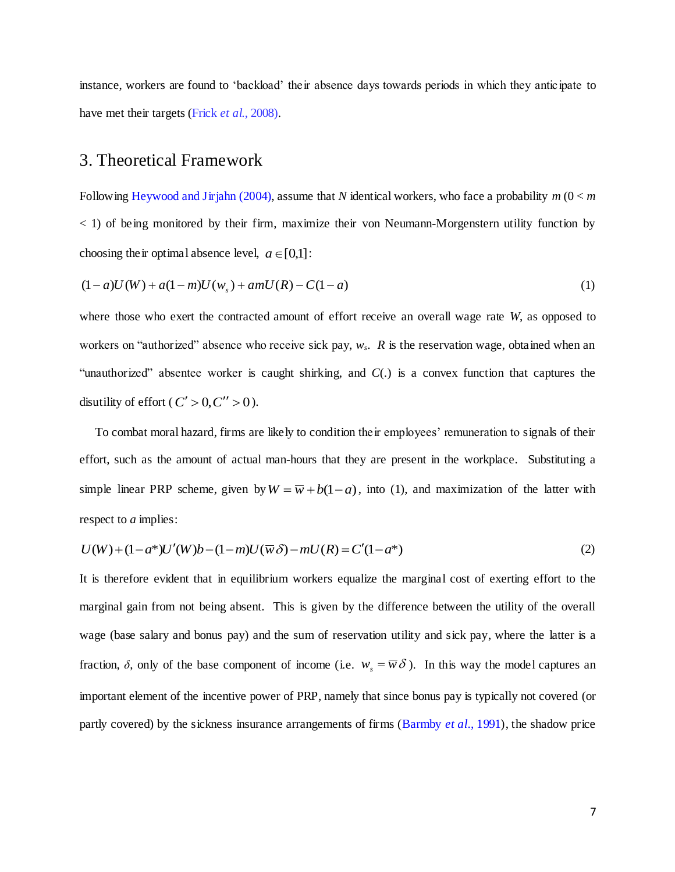instance, workers are found to "backload" their absence days towards periods in which they anticipate to have met their targets (Frick *et al*., 2008).

# 3. Theoretical Framework

Following Heywood and Jirjahn (2004), assume that *N* identical workers, who face a probability *m* (0 < *m* < 1) of being monitored by their firm, maximize their von Neumann-Morgenstern utility function by choosing their optimal absence level,  $a \in [0,1]$ :

$$
(1-a)U(W) + a(1-m)U(ws) + amU(R) - C(1-a)
$$
\n(1)

where those who exert the contracted amount of effort receive an overall wage rate *W*, as opposed to workers on "authorized" absence who receive sick pay, *w<sup>s</sup>* . *R* is the reservation wage, obtained when an "unauthorized" absentee worker is caught shirking, and *C*(.) is a convex function that captures the disutility of effort ( $C' > 0, C'' > 0$ ).

To combat moral hazard, firms are likely to condition their employees" remuneration to signals of their effort, such as the amount of actual man-hours that they are present in the workplace. Substituting a simple linear PRP scheme, given by  $W = \overline{w} + b(1 - a)$ , into (1), and maximization of the latter with respect to *a* implies:

$$
U(W) + (1 - a^*)U'(W)b - (1 - m)U(\overline{w}\delta) - mU(R) = C'(1 - a^*)
$$
\n(2)

It is therefore evident that in equilibrium workers equalize the marginal cost of exerting effort to the marginal gain from not being absent. This is given by the difference between the utility of the overall wage (base salary and bonus pay) and the sum of reservation utility and sick pay, where the latter is a fraction,  $\delta$ , only of the base component of income (i.e.  $w_s = \overline{w} \delta$ ). In this way the model captures an important element of the incentive power of PRP, namely that since bonus pay is typically not covered (or partly covered) by the sickness insurance arrangements of firms (Barmby *et al*., 1991), the shadow price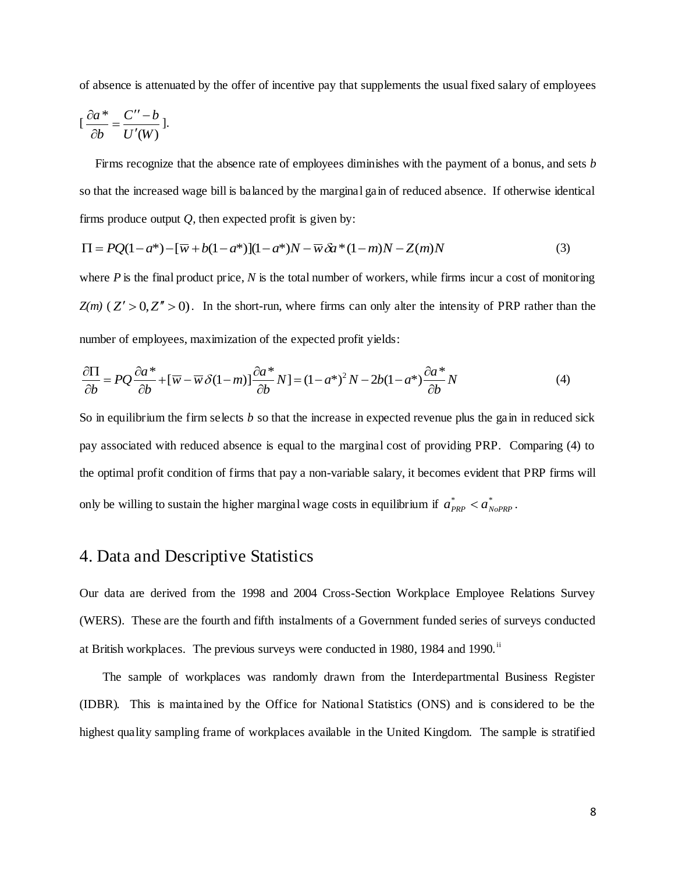of absence is attenuated by the offer of incentive pay that supplements the usual fixed salary of employees

$$
[\frac{\partial a^*}{\partial b} = \frac{C'' - b}{U'(W)}].
$$

Firms recognize that the absence rate of employees diminishes with the payment of a bonus, and sets *b* so that the increased wage bill is balanced by the marginal gain of reduced absence. If otherwise identical firms produce output *Q*, then expected profit is given by:

$$
\Pi = PQ(1 - a^*) - [\overline{w} + b(1 - a^*)](1 - a^*)N - \overline{w}\,\delta a^*(1 - m)N - Z(m)N
$$
\n(3)

where  $P$  is the final product price,  $N$  is the total number of workers, while firms incur a cost of monitoring  $Z(m)$  ( $Z' > 0$ , $Z'' > 0$ ). In the short-run, where firms can only alter the intensity of PRP rather than the number of employees, maximization of the expected profit yields:

$$
\frac{\partial \Pi}{\partial b} = PQ \frac{\partial a^*}{\partial b} + [\overline{w} - \overline{w} \delta (1 - m)] \frac{\partial a^*}{\partial b} N = (1 - a^*)^2 N - 2b(1 - a^*) \frac{\partial a^*}{\partial b} N \tag{4}
$$

So in equilibrium the firm selects  $b$  so that the increase in expected revenue plus the gain in reduced sick pay associated with reduced absence is equal to the marginal cost of providing PRP. Comparing (4) to the optimal profit condition of firms that pay a non-variable salary, it becomes evident that PRP firms will only be willing to sustain the higher marginal wage costs in equilibrium if  $a_{PRP}^* < a_{N\text{oPRP}}^*$ .

# 4. Data and Descriptive Statistics

Our data are derived from the 1998 and 2004 Cross-Section Workplace Employee Relations Survey (WERS). These are the fourth and fifth instalments of a Government funded series of surveys conducted at British workplaces. The previous surveys were conducted in 1980, 1984 and 1990. ii

The sample of workplaces was randomly drawn from the Interdepartmental Business Register (IDBR). This is maintained by the Office for National Statistics (ONS) and is considered to be the highest quality sampling frame of workplaces available in the United Kingdom. The sample is stratified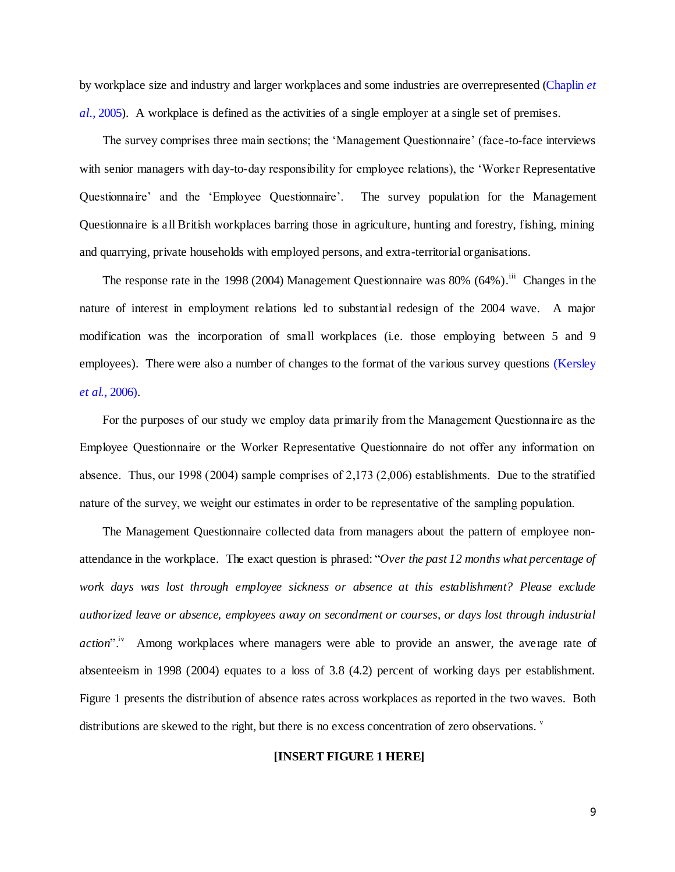by workplace size and industry and larger workplaces and some industries are overrepresented (Chaplin *et al*., 2005). A workplace is defined as the activities of a single employer at a single set of premises.

The survey comprises three main sections; the "Management Questionnaire" (face-to-face interviews with senior managers with day-to-day responsibility for employee relations), the "Worker Representative Questionnaire" and the "Employee Questionnaire". The survey population for the Management Questionnaire is all British workplaces barring those in agriculture, hunting and forestry, fishing, mining and quarrying, private households with employed persons, and extra-territorial organisations.

The response rate in the 1998 (2004) Management Questionnaire was 80% (64%).<sup>iii</sup> Changes in the nature of interest in employment relations led to substantial redesign of the 2004 wave. A major modification was the incorporation of small workplaces (i.e. those employing between 5 and 9 employees). There were also a number of changes to the format of the various survey questions (Kersley *et al*., 2006).

For the purposes of our study we employ data primarily from the Management Questionnaire as the Employee Questionnaire or the Worker Representative Questionnaire do not offer any information on absence. Thus, our 1998 (2004) sample comprises of 2,173 (2,006) establishments. Due to the stratified nature of the survey, we weight our estimates in order to be representative of the sampling population.

The Management Questionnaire collected data from managers about the pattern of employee nonattendance in the workplace. The exact question is phrased: "*Over the past 12 months what percentage of work days was lost through employee sickness or absence at this establishment? Please exclude authorized leave or absence, employees away on secondment or courses, or days lost through industrial*  action".<sup>iv</sup> Among workplaces where managers were able to provide an answer, the average rate of absenteeism in 1998 (2004) equates to a loss of 3.8 (4.2) percent of working days per establishment. Figure 1 presents the distribution of absence rates across workplaces as reported in the two waves. Both distributions are skewed to the right, but there is no excess concentration of zero observations.  $\theta$ 

### **[INSERT FIGURE 1 HERE]**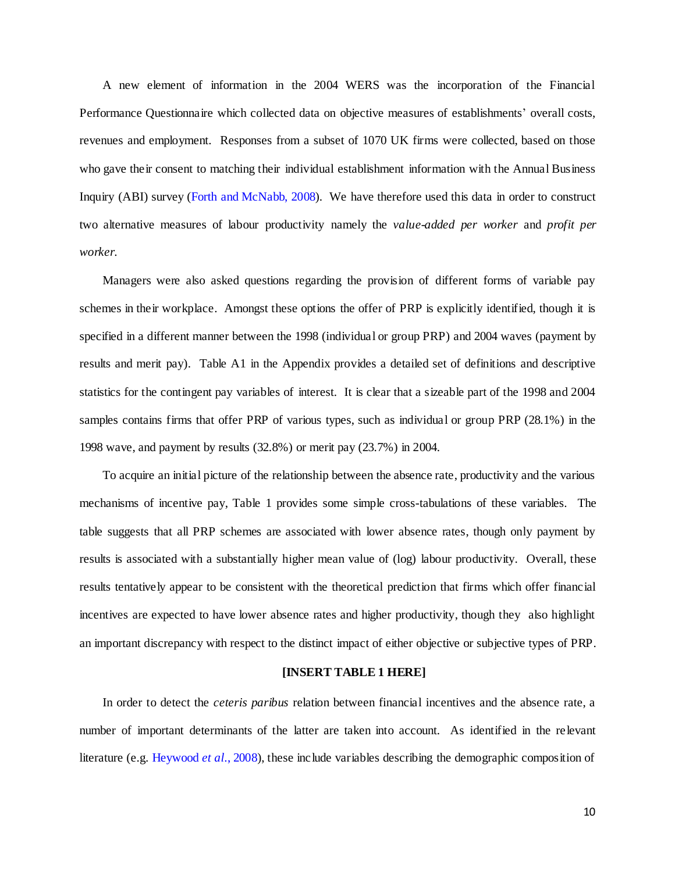A new element of information in the 2004 WERS was the incorporation of the Financial Performance Questionnaire which collected data on objective measures of establishments" overall costs, revenues and employment. Responses from a subset of 1070 UK firms were collected, based on those who gave their consent to matching their individual establishment information with the Annual Business Inquiry (ABI) survey (Forth and McNabb, 2008). We have therefore used this data in order to construct two alternative measures of labour productivity namely the *value-added per worker* and *profit per worker*.

Managers were also asked questions regarding the provision of different forms of variable pay schemes in their workplace. Amongst these options the offer of PRP is explicitly identified, though it is specified in a different manner between the 1998 (individual or group PRP) and 2004 waves (payment by results and merit pay). Table A1 in the Appendix provides a detailed set of definitions and descriptive statistics for the contingent pay variables of interest. It is clear that a sizeable part of the 1998 and 2004 samples contains firms that offer PRP of various types, such as individual or group PRP (28.1%) in the 1998 wave, and payment by results (32.8%) or merit pay (23.7%) in 2004.

To acquire an initial picture of the relationship between the absence rate, productivity and the various mechanisms of incentive pay, Table 1 provides some simple cross-tabulations of these variables. The table suggests that all PRP schemes are associated with lower absence rates, though only payment by results is associated with a substantially higher mean value of (log) labour productivity. Overall, these results tentatively appear to be consistent with the theoretical prediction that firms which offer financial incentives are expected to have lower absence rates and higher productivity, though they also highlight an important discrepancy with respect to the distinct impact of either objective or subjective types of PRP.

# **[INSERT TABLE 1 HERE]**

In order to detect the *ceteris paribus* relation between financial incentives and the absence rate, a number of important determinants of the latter are taken into account. As identified in the relevant literature (e.g. Heywood *et al*., 2008), these include variables describing the demographic composition of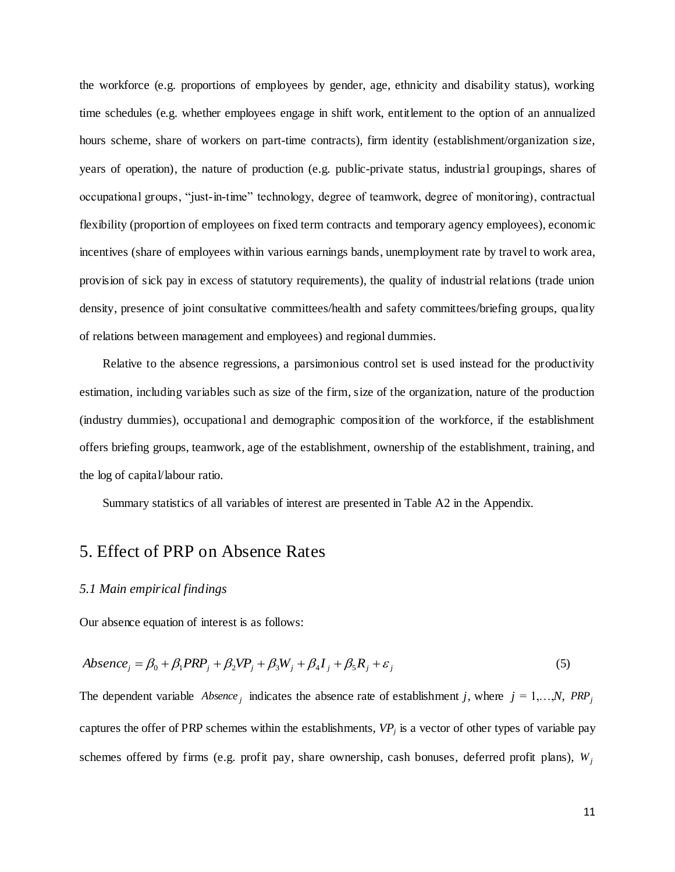the workforce (e.g. proportions of employees by gender, age, ethnicity and disability status), working time schedules (e.g. whether employees engage in shift work, entitlement to the option of an annualized hours scheme, share of workers on part-time contracts), firm identity (establishment/organization size, years of operation), the nature of production (e.g. public-private status, industrial groupings, shares of occupational groups, "just-in-time" technology, degree of teamwork, degree of monitoring), contractual flexibility (proportion of employees on fixed term contracts and temporary agency employees), economic incentives (share of employees within various earnings bands, unemployment rate by travel to work area, provision of sick pay in excess of statutory requirements), the quality of industrial relations (trade union density, presence of joint consultative committees/health and safety committees/briefing groups, quality of relations between management and employees) and regional dummies.

Relative to the absence regressions, a parsimonious control set is used instead for the productivity estimation, including variables such as size of the firm, size of the organization, nature of the production (industry dummies), occupational and demographic composition of the workforce, if the establishment offers briefing groups, teamwork, age of the establishment, ownership of the establishment, training, and the log of capital/labour ratio.

Summary statistics of all variables of interest are presented in Table A2 in the Appendix.

# 5. Effect of PRP on Absence Rates

# *5.1 Main empirical findings*

Our absence equation of interest is as follows:

$$
Absence_j = \beta_0 + \beta_1 PRP_j + \beta_2 VP_j + \beta_3 W_j + \beta_4 I_j + \beta_5 R_j + \varepsilon_j
$$
\n<sup>(5)</sup>

The dependent variable *Absence*<sub>*j*</sub> indicates the absence rate of establishment *j*, where  $j = 1,...,N$ , *PRP*<sub>*j*</sub> captures the offer of PRP schemes within the establishments,  $VP<sub>j</sub>$  is a vector of other types of variable pay schemes offered by firms (e.g. profit pay, share ownership, cash bonuses, deferred profit plans), *Wj*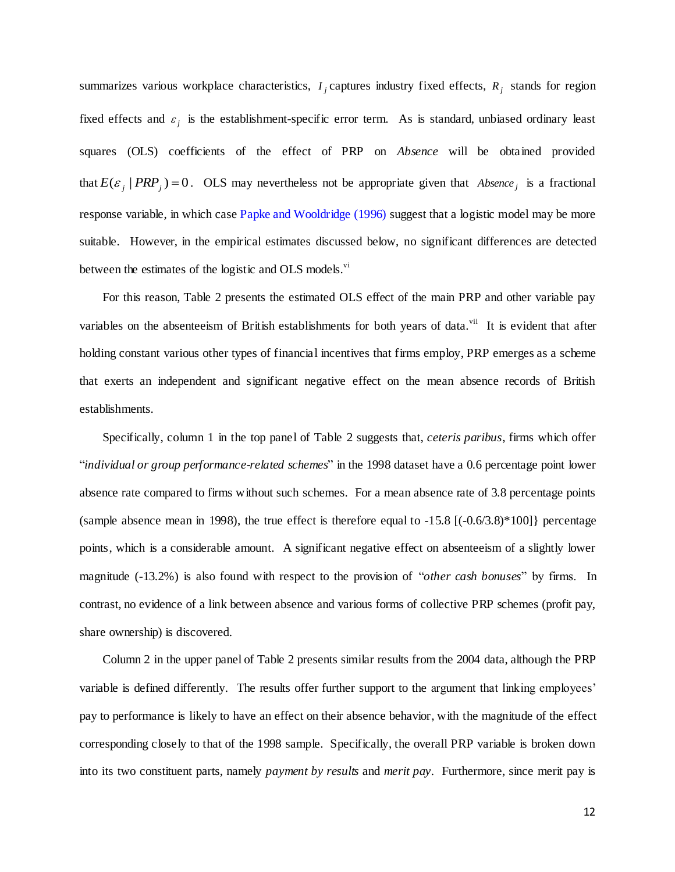summarizes various workplace characteristics,  $I_j$  captures industry fixed effects,  $R_j$  stands for region fixed effects and  $\varepsilon_j$  is the establishment-specific error term. As is standard, unbiased ordinary least squares (OLS) coefficients of the effect of PRP on *Absence* will be obtained provided that  $E(\varepsilon_j \mid PRP_j) = 0$ . OLS may nevertheless not be appropriate given that Absence<sub>j</sub> is a fractional response variable, in which case Papke and Wooldridge (1996) suggest that a logistic model may be more suitable. However, in the empirical estimates discussed below, no significant differences are detected between the estimates of the logistic and OLS models.<sup>vi</sup>

For this reason, Table 2 presents the estimated OLS effect of the main PRP and other variable pay variables on the absenteeism of British establishments for both years of data.<sup>vii</sup> It is evident that after holding constant various other types of financial incentives that firms employ, PRP emerges as a scheme that exerts an independent and significant negative effect on the mean absence records of British establishments.

Specifically, column 1 in the top panel of Table 2 suggests that, *ceteris paribus*, firms which offer "*individual or group performance-related schemes*" in the 1998 dataset have a 0.6 percentage point lower absence rate compared to firms without such schemes. For a mean absence rate of 3.8 percentage points (sample absence mean in 1998), the true effect is therefore equal to -15.8 [(-0.6/3.8)\*100]} percentage points, which is a considerable amount. A significant negative effect on absenteeism of a slightly lower magnitude (-13.2%) is also found with respect to the provision of "*other cash bonuses*" by firms. In contrast, no evidence of a link between absence and various forms of collective PRP schemes (profit pay, share ownership) is discovered.

Column 2 in the upper panel of Table 2 presents similar results from the 2004 data, although the PRP variable is defined differently. The results offer further support to the argument that linking employees" pay to performance is likely to have an effect on their absence behavior, with the magnitude of the effect corresponding closely to that of the 1998 sample. Specifically, the overall PRP variable is broken down into its two constituent parts, namely *payment by results* and *merit pay*. Furthermore, since merit pay is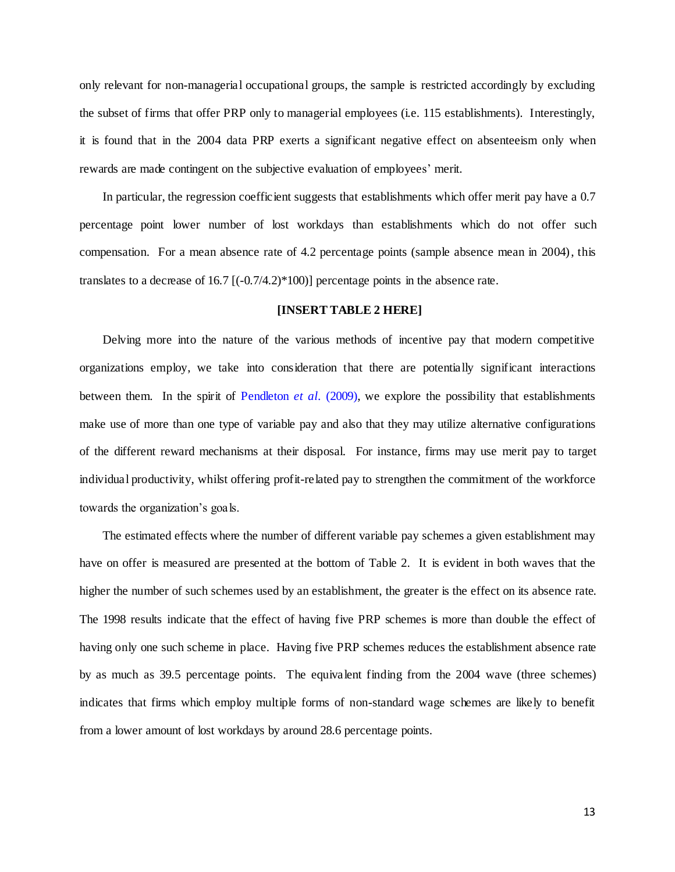only relevant for non-managerial occupational groups, the sample is restricted accordingly by excluding the subset of firms that offer PRP only to managerial employees (i.e. 115 establishments). Interestingly, it is found that in the 2004 data PRP exerts a significant negative effect on absenteeism only when rewards are made contingent on the subjective evaluation of employees' merit.

In particular, the regression coefficient suggests that establishments which offer merit pay have a 0.7 percentage point lower number of lost workdays than establishments which do not offer such compensation. For a mean absence rate of 4.2 percentage points (sample absence mean in 2004), this translates to a decrease of 16.7  $[(-0.7/4.2)*100]$  percentage points in the absence rate.

### **[INSERT TABLE 2 HERE]**

Delving more into the nature of the various methods of incentive pay that modern competitive organizations employ, we take into consideration that there are potentially significant interactions between them. In the spirit of Pendleton *et al*. (2009), we explore the possibility that establishments make use of more than one type of variable pay and also that they may utilize alternative configurations of the different reward mechanisms at their disposal. For instance, firms may use merit pay to target individual productivity, whilst offering profit-related pay to strengthen the commitment of the workforce towards the organization's goals.

The estimated effects where the number of different variable pay schemes a given establishment may have on offer is measured are presented at the bottom of Table 2. It is evident in both waves that the higher the number of such schemes used by an establishment, the greater is the effect on its absence rate. The 1998 results indicate that the effect of having five PRP schemes is more than double the effect of having only one such scheme in place. Having five PRP schemes reduces the establishment absence rate by as much as 39.5 percentage points. The equivalent finding from the 2004 wave (three schemes) indicates that firms which employ multiple forms of non-standard wage schemes are likely to benefit from a lower amount of lost workdays by around 28.6 percentage points.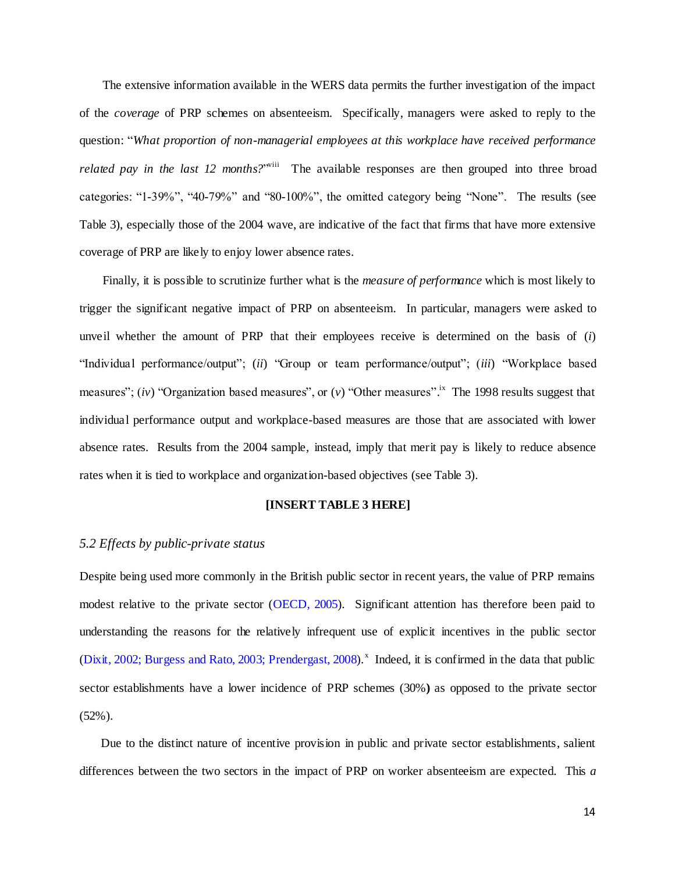The extensive information available in the WERS data permits the further investigation of the impact of the *coverage* of PRP schemes on absenteeism. Specifically, managers were asked to reply to the question: "*What proportion of non-managerial employees at this workplace have received performance*  related pay in the last 12 months?"<sup>viii</sup> The available responses are then grouped into three broad categories: "1-39%", "40-79%" and "80-100%", the omitted category being "None". The results (see Table 3), especially those of the 2004 wave, are indicative of the fact that firms that have more extensive coverage of PRP are likely to enjoy lower absence rates.

Finally, it is possible to scrutinize further what is the *measure of performance* which is most likely to trigger the significant negative impact of PRP on absenteeism. In particular, managers were asked to unveil whether the amount of PRP that their employees receive is determined on the basis of (*i*) "Individual performance/output"; (*ii*) "Group or team performance/output"; (*iii*) "Workplace based measures";  $(iv)$  "Organization based measures", or  $(v)$  "Other measures".<sup>ix</sup> The 1998 results suggest that individual performance output and workplace-based measures are those that are associated with lower absence rates. Results from the 2004 sample, instead, imply that merit pay is likely to reduce absence rates when it is tied to workplace and organization-based objectives (see Table 3).

### **[INSERT TABLE 3 HERE]**

### *5.2 Effects by public-private status*

Despite being used more commonly in the British public sector in recent years, the value of PRP remains modest relative to the private sector (OECD, 2005). Significant attention has therefore been paid to understanding the reasons for the relatively infrequent use of explicit incentives in the public sector (Dixit, 2002; Burgess and Rato, 2003; Prendergast, 2008).<sup>x</sup> Indeed, it is confirmed in the data that public sector establishments have a lower incidence of PRP schemes (30%**)** as opposed to the private sector (52%).

Due to the distinct nature of incentive provision in public and private sector establishments, salient differences between the two sectors in the impact of PRP on worker absenteeism are expected. This *a*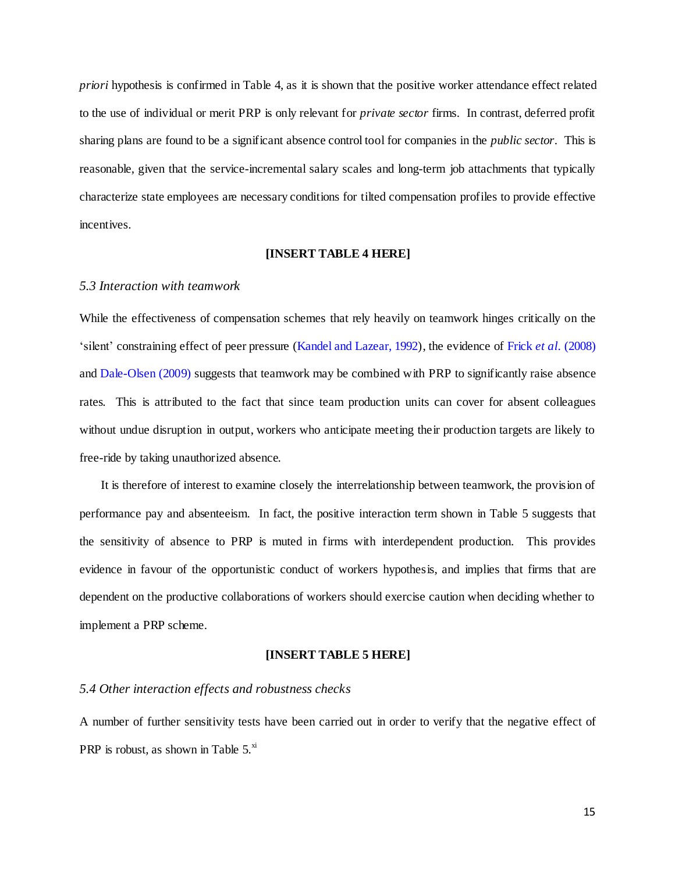*priori* hypothesis is confirmed in Table 4, as it is shown that the positive worker attendance effect related to the use of individual or merit PRP is only relevant for *private sector* firms. In contrast, deferred profit sharing plans are found to be a significant absence control tool for companies in the *public sector*. This is reasonable, given that the service-incremental salary scales and long-term job attachments that typically characterize state employees are necessary conditions for tilted compensation profiles to provide effective incentives.

### **[INSERT TABLE 4 HERE]**

### *5.3 Interaction with teamwork*

While the effectiveness of compensation schemes that rely heavily on teamwork hinges critically on the "silent" constraining effect of peer pressure (Kandel and Lazear, 1992), the evidence of Frick *et al*. (2008) and Dale-Olsen (2009) suggests that teamwork may be combined with PRP to significantly raise absence rates. This is attributed to the fact that since team production units can cover for absent colleagues without undue disruption in output, workers who anticipate meeting their production targets are likely to free-ride by taking unauthorized absence.

It is therefore of interest to examine closely the interrelationship between teamwork, the provision of performance pay and absenteeism. In fact, the positive interaction term shown in Table 5 suggests that the sensitivity of absence to PRP is muted in firms with interdependent production. This provides evidence in favour of the opportunistic conduct of workers hypothesis, and implies that firms that are dependent on the productive collaborations of workers should exercise caution when deciding whether to implement a PRP scheme.

#### **[INSERT TABLE 5 HERE]**

### *5.4 Other interaction effects and robustness checks*

A number of further sensitivity tests have been carried out in order to verify that the negative effect of PRP is robust, as shown in Table  $5^{x}$ .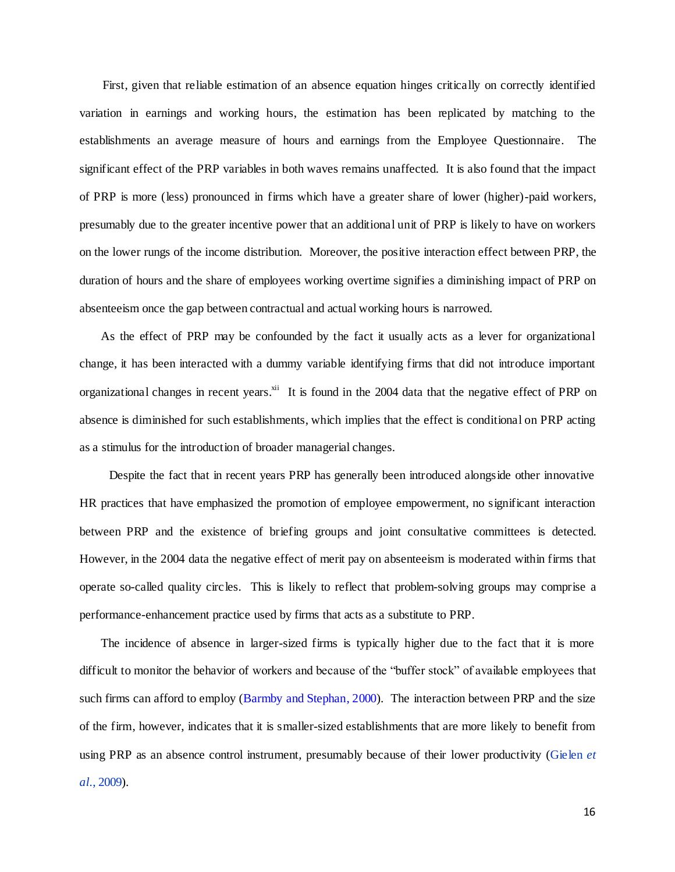First, given that reliable estimation of an absence equation hinges critically on correctly identified variation in earnings and working hours, the estimation has been replicated by matching to the establishments an average measure of hours and earnings from the Employee Questionnaire. The significant effect of the PRP variables in both waves remains unaffected. It is also found that the impact of PRP is more (less) pronounced in firms which have a greater share of lower (higher)-paid workers, presumably due to the greater incentive power that an additional unit of PRP is likely to have on workers on the lower rungs of the income distribution. Moreover, the positive interaction effect between PRP, the duration of hours and the share of employees working overtime signifies a diminishing impact of PRP on absenteeism once the gap between contractual and actual working hours is narrowed.

As the effect of PRP may be confounded by the fact it usually acts as a lever for organizational change, it has been interacted with a dummy variable identifying firms that did not introduce important organizational changes in recent years.<sup>xii</sup> It is found in the 2004 data that the negative effect of PRP on absence is diminished for such establishments, which implies that the effect is conditional on PRP acting as a stimulus for the introduction of broader managerial changes.

 Despite the fact that in recent years PRP has generally been introduced alongside other innovative HR practices that have emphasized the promotion of employee empowerment, no significant interaction between PRP and the existence of briefing groups and joint consultative committees is detected. However, in the 2004 data the negative effect of merit pay on absenteeism is moderated within firms that operate so-called quality circles. This is likely to reflect that problem-solving groups may comprise a performance-enhancement practice used by firms that acts as a substitute to PRP.

The incidence of absence in larger-sized firms is typically higher due to the fact that it is more difficult to monitor the behavior of workers and because of the "buffer stock" of available employees that such firms can afford to employ (Barmby and Stephan, 2000). The interaction between PRP and the size of the firm, however, indicates that it is smaller-sized establishments that are more likely to benefit from using PRP as an absence control instrument, presumably because of their lower productivity (Gielen *et al*., 2009).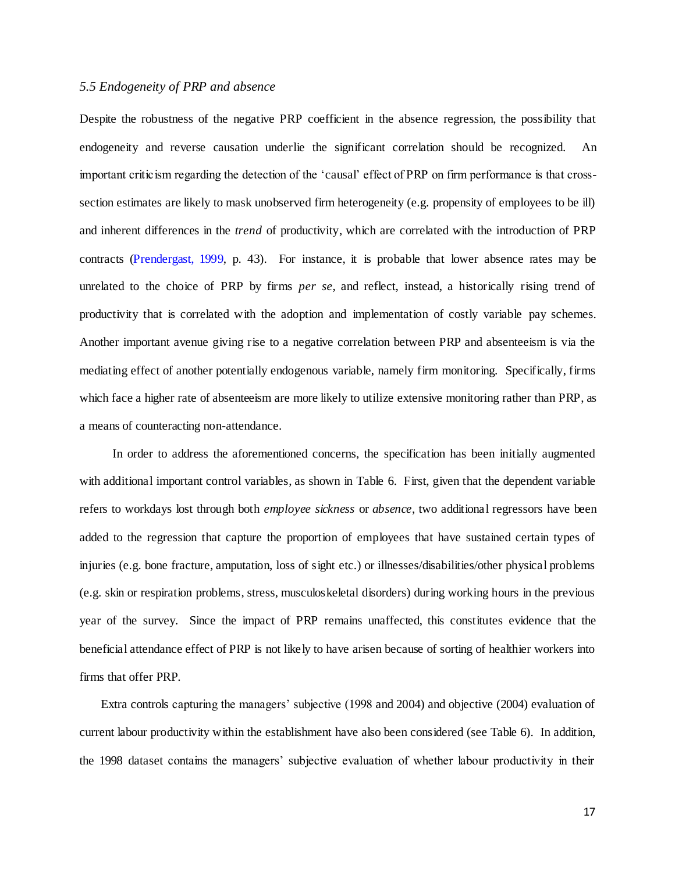### *5.5 Endogeneity of PRP and absence*

Despite the robustness of the negative PRP coefficient in the absence regression, the possibility that endogeneity and reverse causation underlie the significant correlation should be recognized. An important criticism regarding the detection of the "causal" effect of PRP on firm performance is that crosssection estimates are likely to mask unobserved firm heterogeneity (e.g. propensity of employees to be ill) and inherent differences in the *trend* of productivity, which are correlated with the introduction of PRP contracts (Prendergast, 1999, p. 43). For instance, it is probable that lower absence rates may be unrelated to the choice of PRP by firms *per se*, and reflect, instead, a historically rising trend of productivity that is correlated with the adoption and implementation of costly variable pay schemes. Another important avenue giving rise to a negative correlation between PRP and absenteeism is via the mediating effect of another potentially endogenous variable, namely firm monitoring. Specifically, firms which face a higher rate of absenteeism are more likely to utilize extensive monitoring rather than PRP, as a means of counteracting non-attendance.

 In order to address the aforementioned concerns, the specification has been initially augmented with additional important control variables, as shown in Table 6. First, given that the dependent variable refers to workdays lost through both *employee sickness* or *absence*, two additional regressors have been added to the regression that capture the proportion of employees that have sustained certain types of injuries (e.g. bone fracture, amputation, loss of sight etc.) or illnesses/disabilities/other physical problems (e.g. skin or respiration problems, stress, musculoskeletal disorders) during working hours in the previous year of the survey. Since the impact of PRP remains unaffected, this constitutes evidence that the beneficial attendance effect of PRP is not likely to have arisen because of sorting of healthier workers into firms that offer PRP.

Extra controls capturing the managers' subjective (1998 and 2004) and objective (2004) evaluation of current labour productivity within the establishment have also been considered (see Table 6). In addition, the 1998 dataset contains the managers" subjective evaluation of whether labour productivity in their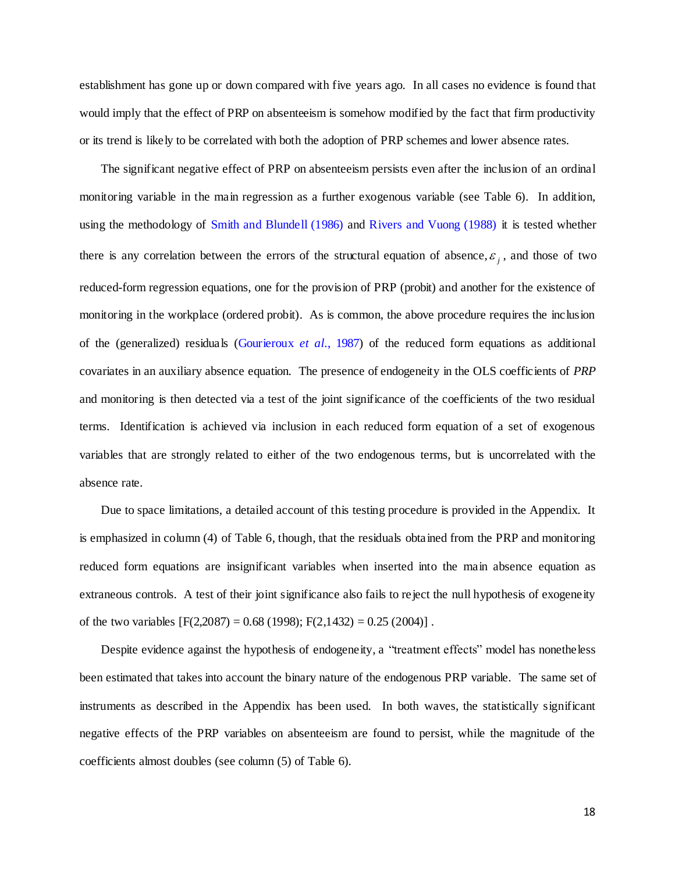establishment has gone up or down compared with five years ago. In all cases no evidence is found that would imply that the effect of PRP on absenteeism is somehow modified by the fact that firm productivity or its trend is likely to be correlated with both the adoption of PRP schemes and lower absence rates.

The significant negative effect of PRP on absenteeism persists even after the inclusion of an ordinal monitoring variable in the main regression as a further exogenous variable (see Table 6). In addition, using the methodology of Smith and Blundell (1986) and Rivers and Vuong (1988) it is tested whether there is any correlation between the errors of the structural equation of absence,  $\varepsilon_j$ , and those of two reduced-form regression equations, one for the provision of PRP (probit) and another for the existence of monitoring in the workplace (ordered probit). As is common, the above procedure requires the inclusion of the (generalized) residuals (Gourieroux *et al*., 1987) of the reduced form equations as additional covariates in an auxiliary absence equation. The presence of endogeneity in the OLS coefficients of *PRP*  and monitoring is then detected via a test of the joint significance of the coefficients of the two residual terms. Identification is achieved via inclusion in each reduced form equation of a set of exogenous variables that are strongly related to either of the two endogenous terms, but is uncorrelated with the absence rate.

Due to space limitations, a detailed account of this testing procedure is provided in the Appendix. It is emphasized in column (4) of Table 6, though, that the residuals obtained from the PRP and monitoring reduced form equations are insignificant variables when inserted into the main absence equation as extraneous controls. A test of their joint significance also fails to reject the null hypothesis of exogeneity of the two variables  $[F(2,2087) = 0.68 (1998); F(2,1432) = 0.25 (2004)]$ .

Despite evidence against the hypothesis of endogeneity, a "treatment effects" model has nonetheless been estimated that takes into account the binary nature of the endogenous PRP variable. The same set of instruments as described in the Appendix has been used. In both waves, the statistically significant negative effects of the PRP variables on absenteeism are found to persist, while the magnitude of the coefficients almost doubles (see column (5) of Table 6).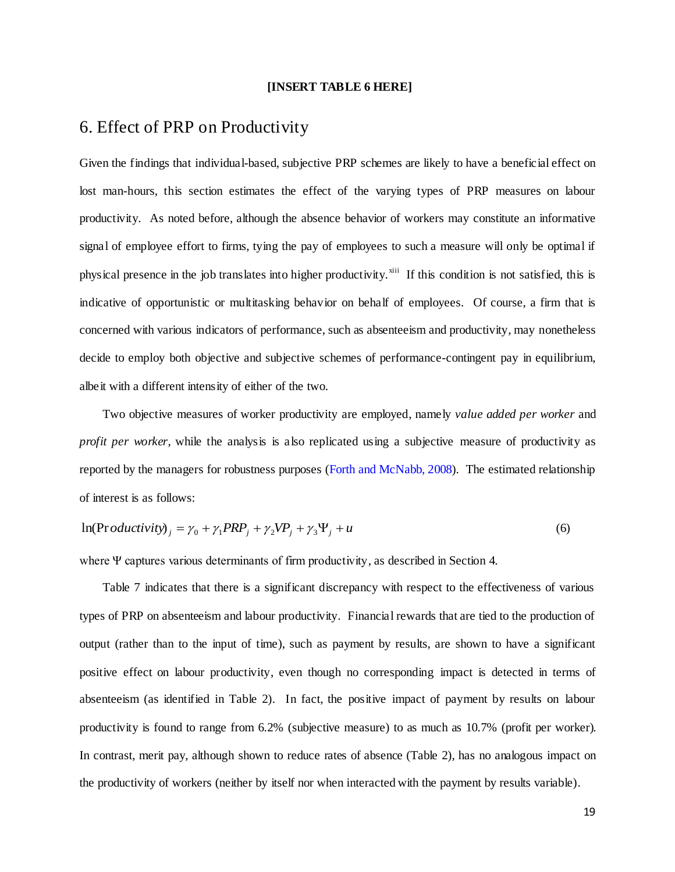#### **[INSERT TABLE 6 HERE]**

# 6. Effect of PRP on Productivity

Given the findings that individual-based, subjective PRP schemes are likely to have a beneficial effect on lost man-hours, this section estimates the effect of the varying types of PRP measures on labour productivity. As noted before, although the absence behavior of workers may constitute an informative signal of employee effort to firms, tying the pay of employees to such a measure will only be optimal if physical presence in the job translates into higher productivity.<sup>xiii</sup> If this condition is not satisfied, this is indicative of opportunistic or multitasking behavior on behalf of employees. Of course, a firm that is concerned with various indicators of performance, such as absenteeism and productivity, may nonetheless decide to employ both objective and subjective schemes of performance-contingent pay in equilibrium, albeit with a different intensity of either of the two.

Two objective measures of worker productivity are employed, namely *value added per worker* and *profit per worker*, while the analysis is also replicated using a subjective measure of productivity as reported by the managers for robustness purposes (Forth and McNabb, 2008). The estimated relationship of interest is as follows:

$$
\ln(Probability)_{j} = \gamma_0 + \gamma_1 PRP_j + \gamma_2 VP_j + \gamma_3 \Psi_j + u \tag{6}
$$

where Ψ captures various determinants of firm productivity, as described in Section 4.

Table 7 indicates that there is a significant discrepancy with respect to the effectiveness of various types of PRP on absenteeism and labour productivity. Financial rewards that are tied to the production of output (rather than to the input of time), such as payment by results, are shown to have a significant positive effect on labour productivity, even though no corresponding impact is detected in terms of absenteeism (as identified in Table 2). In fact, the positive impact of payment by results on labour productivity is found to range from 6.2% (subjective measure) to as much as 10.7% (profit per worker). In contrast, merit pay, although shown to reduce rates of absence (Table 2), has no analogous impact on the productivity of workers (neither by itself nor when interacted with the payment by results variable).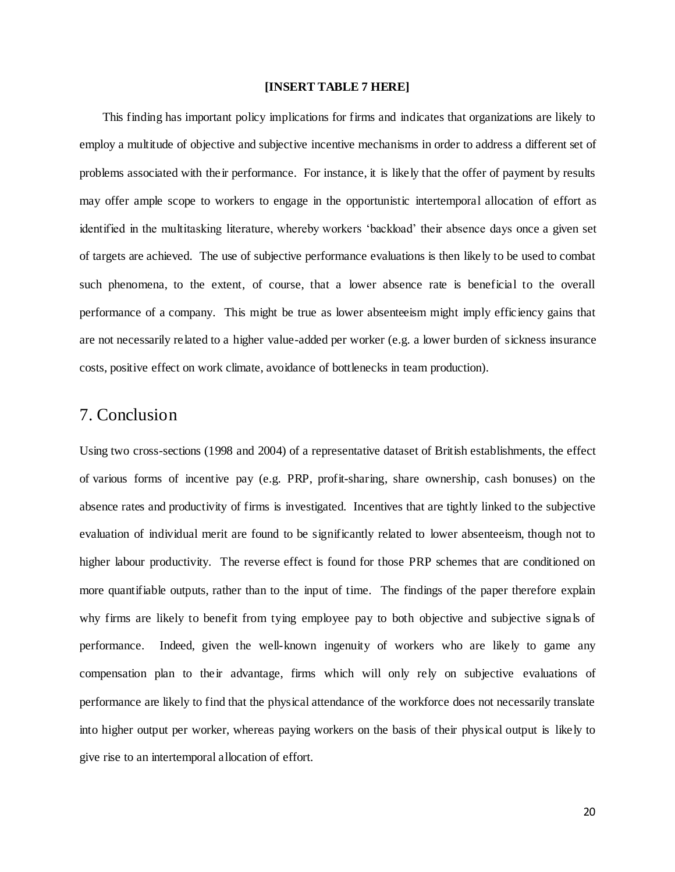#### **[INSERT TABLE 7 HERE]**

This finding has important policy implications for firms and indicates that organizations are likely to employ a multitude of objective and subjective incentive mechanisms in order to address a different set of problems associated with the ir performance. For instance, it is likely that the offer of payment by results may offer ample scope to workers to engage in the opportunistic intertemporal allocation of effort as identified in the multitasking literature, whereby workers "backload" their absence days once a given set of targets are achieved. The use of subjective performance evaluations is then likely to be used to combat such phenomena, to the extent, of course, that a lower absence rate is beneficial to the overall performance of a company. This might be true as lower absenteeism might imply efficiency gains that are not necessarily related to a higher value-added per worker (e.g. a lower burden of sickness insurance costs, positive effect on work climate, avoidance of bottlenecks in team production).

# 7. Conclusion

Using two cross-sections (1998 and 2004) of a representative dataset of British establishments, the effect of various forms of incentive pay (e.g. PRP, profit-sharing, share ownership, cash bonuses) on the absence rates and productivity of firms is investigated. Incentives that are tightly linked to the subjective evaluation of individual merit are found to be significantly related to lower absenteeism, though not to higher labour productivity. The reverse effect is found for those PRP schemes that are conditioned on more quantifiable outputs, rather than to the input of time. The findings of the paper therefore explain why firms are likely to benefit from tying employee pay to both objective and subjective signals of performance. Indeed, given the well-known ingenuity of workers who are likely to game any compensation plan to their advantage, firms which will only rely on subjective evaluations of performance are likely to find that the physical attendance of the workforce does not necessarily translate into higher output per worker, whereas paying workers on the basis of their physical output is likely to give rise to an intertemporal allocation of effort.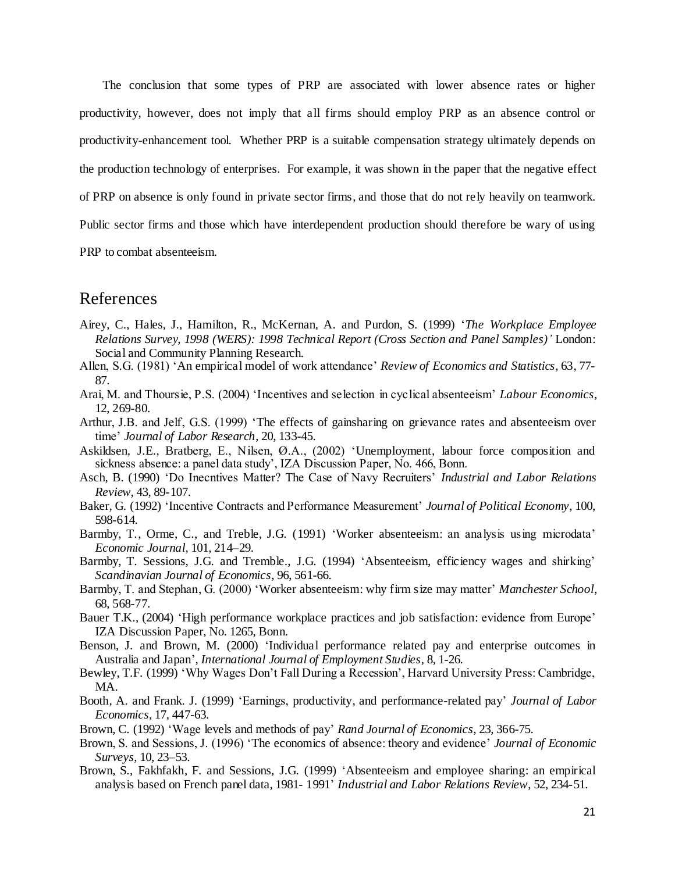The conclusion that some types of PRP are associated with lower absence rates or higher productivity, however, does not imply that all firms should employ PRP as an absence control or productivity-enhancement tool. Whether PRP is a suitable compensation strategy ultimately depends on the production technology of enterprises. For example, it was shown in the paper that the negative effect of PRP on absence is only found in private sector firms, and those that do not rely heavily on teamwork. Public sector firms and those which have interdependent production should therefore be wary of using PRP to combat absenteeism.

# References

- Airey, C., Hales, J., Hamilton, R., McKernan, A. and Purdon, S. (1999) "*The Workplace Employee Relations Survey, 1998 (WERS): 1998 Technical Report (Cross Section and Panel Samples)'* London: Social and Community Planning Research.
- Allen, S.G. (1981) "An empirical model of work attendance" *Review of Economics and Statistics*, 63, 77- 87.
- Arai, M. and Thoursie, P.S. (2004) "Incentives and selection in cyclical absenteeism" *Labour Economics*, 12, 269-80.
- Arthur, J.B. and Jelf, G.S. (1999) "The effects of gainsharing on grievance rates and absenteeism over time" *Journal of Labor Research*, 20, 133-45.
- Askildsen, J.E., Bratberg, E., Nilsen, Ø.A., (2002) "Unemployment, labour force composition and sickness absence: a panel data study", IZA Discussion Paper, No. 466, Bonn.
- Asch, B. (1990) "Do Inecntives Matter? The Case of Navy Recruiters" *Industrial and Labor Relations Review*, 43, 89-107.
- Baker, G. (1992) "Incentive Contracts and Performance Measurement" *Journal of Political Economy*, 100, 598-614.
- Barmby, T., Orme, C., and Treble, J.G. (1991) 'Worker absenteeism: an analysis using microdata' *Economic Journal*, 101, 214–29.
- Barmby, T. Sessions, J.G. and Tremble., J.G. (1994) 'Absenteeism, efficiency wages and shirking' *Scandinavian Journal of Economics*, 96, 561-66.
- Barmby, T. and Stephan, G. (2000) "Worker absenteeism: why firm size may matter" *Manchester School*, 68, 568-77.
- Bauer T.K., (2004) 'High performance workplace practices and job satisfaction: evidence from Europe' IZA Discussion Paper, No. 1265, Bonn.
- Benson, J. and Brown, M. (2000) "Individual performance related pay and enterprise outcomes in Australia and Japan", *International Journal of Employment Studies*, 8, 1-26.
- Bewley, T.F. (1999) "Why Wages Don"t Fall During a Recession", Harvard University Press: Cambridge, MA.
- Booth, A. and Frank. J. (1999) "Earnings, productivity, and performance-related pay" *Journal of Labor Economics*, 17, 447-63.
- Brown, C. (1992) "Wage levels and methods of pay" *Rand Journal of Economics*, 23, 366-75.
- Brown, S. and Sessions, J. (1996) "The economics of absence: theory and evidence" *Journal of Economic Surveys*, 10, 23–53.
- Brown, S., Fakhfakh, F. and Sessions, J.G. (1999) "Absenteeism and employee sharing: an empirical analysis based on French panel data, 1981- 1991" *Industrial and Labor Relations Review*, 52, 234-51.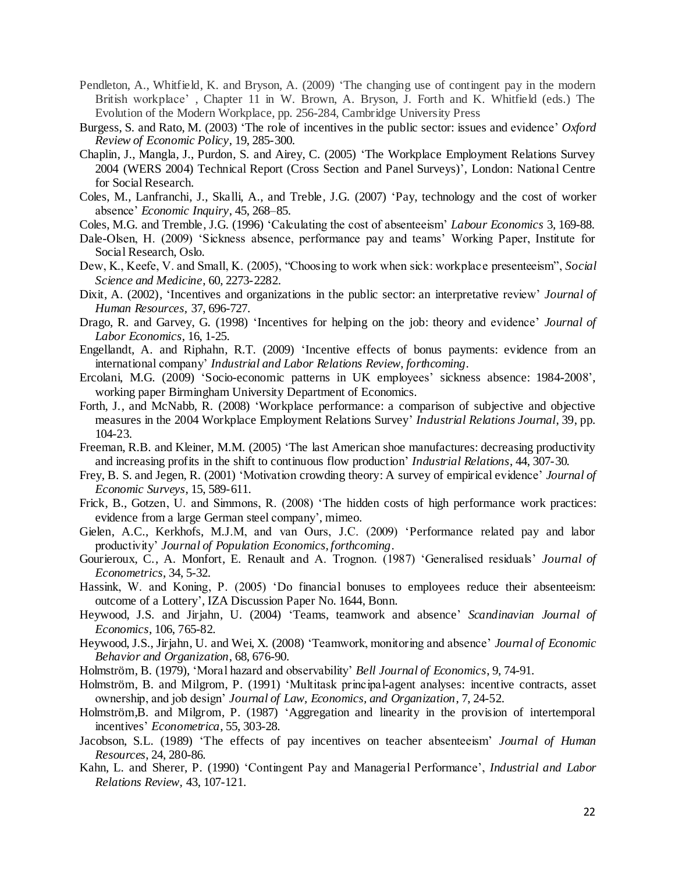- Pendleton, A., Whitfield, K. and Bryson, A. (2009) "The changing use of contingent pay in the modern British workplace" , Chapter 11 in W. Brown, A. Bryson, J. Forth and K. Whitfield (eds.) The Evolution of the Modern Workplace, pp. 256-284, Cambridge University Press
- Burgess, S. and Rato, M. (2003) "The role of incentives in the public sector: issues and evidence" *Oxford Review of Economic Policy*, 19, 285-300.
- Chaplin, J., Mangla, J., Purdon, S. and Airey, C. (2005) "The Workplace Employment Relations Survey 2004 (WERS 2004) Technical Report (Cross Section and Panel Surveys)", London: National Centre for Social Research.
- Coles, M., Lanfranchi, J., Skalli, A., and Treble, J.G. (2007) "Pay, technology and the cost of worker absence" *Economic Inquiry*, 45, 268–85.
- Coles, M.G. and Tremble, J.G. (1996) "Calculating the cost of absenteeism" *Labour Economics* 3, 169-88.
- Dale-Olsen, H. (2009) "Sickness absence, performance pay and teams" Working Paper, Institute for Social Research, Oslo.
- Dew, K., Keefe, V. and Small, K. (2005), "Choosing to work when sick: workplace presenteeism", *Social Science and Medicine*, 60, 2273-2282.
- Dixit, A. (2002), 'Incentives and organizations in the public sector: an interpretative review' *Journal of Human Resources,* 37, 696-727.
- Drago, R. and Garvey, G. (1998) "Incentives for helping on the job: theory and evidence" *Journal of Labor Economics*, 16, 1-25.
- Engellandt, A. and Riphahn, R.T. (2009) "Incentive effects of bonus payments: evidence from an international company" *Industrial and Labor Relations Review*, *forthcoming*.
- Ercolani, M.G. (2009) 'Socio-economic patterns in UK employees' sickness absence: 1984-2008', working paper Birmingham University Department of Economics.
- Forth, J., and McNabb, R. (2008) "Workplace performance: a comparison of subjective and objective measures in the 2004 Workplace Employment Relations Survey" *Industrial Relations Journal*, 39, pp. 104-23.
- Freeman, R.B. and Kleiner, M.M. (2005) "The last American shoe manufactures: decreasing productivity and increasing profits in the shift to continuous flow production" *Industrial Relations*, 44, 307-30*.*
- Frey, B. S. and Jegen, R. (2001) "Motivation crowding theory: A survey of empirical evidence" *Journal of Economic Surveys*, 15, 589-611.
- Frick, B., Gotzen, U. and Simmons, R. (2008) "The hidden costs of high performance work practices: evidence from a large German steel company", mimeo.
- Gielen, A.C., Kerkhofs, M.J.M, and van Ours, J.C. (2009) "Performance related pay and labor productivity" *Journal of Population Economics, forthcoming*.
- Gourieroux, C., A. Monfort, E. Renault and A. Trognon. (1987) "Generalised residuals" *Journal of Econometrics*, 34, 5-32.
- Hassink, W. and Koning, P. (2005) "Do financial bonuses to employees reduce their absenteeism: outcome of a Lottery", IZA Discussion Paper No. 1644, Bonn.
- Heywood, J.S. and Jirjahn, U. (2004) "Teams, teamwork and absence" *Scandinavian Journal of Economics*, 106, 765-82.
- Heywood, J.S., Jirjahn, U. and Wei, X. (2008) "Teamwork, monitoring and absence" *Journal of Economic Behavior and Organization*, 68, 676-90.
- Holmström, B. (1979), "Moral hazard and observability" *Bell Journal of Economics*, 9, 74-91.
- Holmström, B. and Milgrom, P. (1991) "Multitask principal-agent analyses: incentive contracts, asset ownership, and job design" *Journal of Law, Economics, and Organization*, 7, 24-52.
- Holmström,B. and Milgrom, P. (1987) "Aggregation and linearity in the provision of intertemporal incentives" *Econometrica*, 55, 303-28.
- Jacobson, S.L. (1989) "The effects of pay incentives on teacher absenteeism" *Journal of Human Resources*, 24, 280-86.
- Kahn, L. and Sherer, P. (1990) "Contingent Pay and Managerial Performance", *Industrial and Labor Relations Review,* 43, 107-121.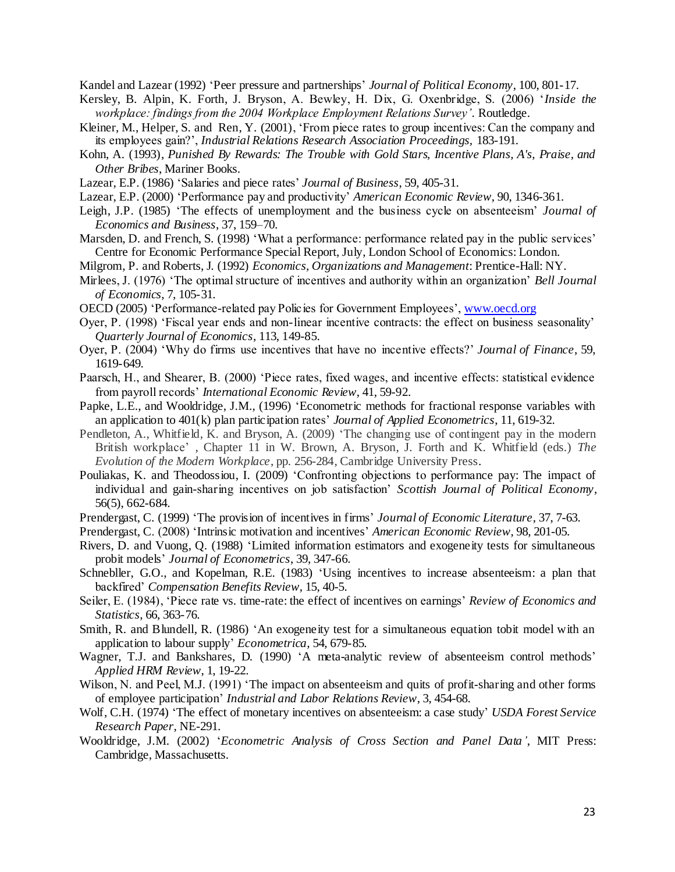Kandel and Lazear (1992) "Peer pressure and partnerships" *Journal of Political Economy*, 100, 801-17.

- Kersley, B. Alpin, K. Forth, J. Bryson, A. Bewley, H. Dix, G. Oxenbridge, S. (2006) "*Inside the workplace: findings from the 2004 Workplace Employment Relations Survey'*. Routledge.
- Kleiner, M., Helper, S. and Ren, Y. (2001), "From piece rates to group incentives: Can the company and its employees gain?", *Industrial Relations Research Association Proceedings,* 183-191.
- Kohn, A. (1993), *Punished By Rewards: The Trouble with Gold Stars, Incentive Plans, A's, Praise, and Other Bribes*, Mariner Books.
- Lazear, E.P. (1986) "Salaries and piece rates" *Journal of Business*, 59, 405-31.
- Lazear, E.P. (2000) "Performance pay and productivity" *American Economic Review*, 90, 1346-361.
- Leigh, J.P. (1985) 'The effects of unemployment and the business cycle on absenteeism' *Journal of Economics and Business*, 37, 159–70.
- Marsden, D. and French, S. (1998) 'What a performance: performance related pay in the public services' Centre for Economic Performance Special Report, July, London School of Economics: London.
- Milgrom, P. and Roberts, J. (1992) *Economics, Organizations and Management*: Prentice-Hall: NY.
- Mirlees, J. (1976) "The optimal structure of incentives and authority within an organization" *Bell Journal of Economics*, 7, 105-31.
- OECD (2005) 'Performance-related pay Policies for Government Employees'[, www.oecd.org](http://www.oecd.org/)
- Oyer, P. (1998) "Fiscal year ends and non-linear incentive contracts: the effect on business seasonality" *Quarterly Journal of Economics*, 113, 149-85.
- Oyer, P. (2004) "Why do firms use incentives that have no incentive effects?" *Journal of Finance*, 59, 1619-649.
- Paarsch, H., and Shearer, B. (2000) "Piece rates, fixed wages, and incentive effects: statistical evidence from payroll records" *International Economic Review*, 41, 59-92.
- Papke, L.E., and Wooldridge, J.M., (1996) "Econometric methods for fractional response variables with an application to 401(k) plan participation rates" *Journal of Applied Econometrics*, 11, 619-32.
- Pendleton, A., Whitfield, K. and Bryson, A. (2009) "The changing use of contingent pay in the modern British workplace" , Chapter 11 in W. Brown, A. Bryson, J. Forth and K. Whitfield (eds.) *The Evolution of the Modern Workplace*, pp. 256-284, Cambridge University Press.
- Pouliakas, K. and Theodossiou, I. (2009) "Confronting objections to performance pay: The impact of individual and gain-sharing incentives on job satisfaction" *Scottish Journal of Political Economy*, 56(5), 662-684.
- Prendergast, C. (1999) "The provision of incentives in firms" *Journal of Economic Literature*, 37, 7-63.
- Prendergast, C. (2008) "Intrinsic motivation and incentives" *American Economic Review*, 98, 201-05.
- Rivers, D. and Vuong, Q. (1988) "Limited information estimators and exogeneity tests for simultaneous probit models" *Journal of Econometrics*, 39, 347-66.
- Schnebller, G.O., and Kopelman, R.E. (1983) "Using incentives to increase absenteeism: a plan that backfired" *Compensation Benefits Review*, 15, 40-5.
- Seiler, E. (1984), "Piece rate vs. time-rate: the effect of incentives on earnings" *Review of Economics and Statistics*, 66, 363-76.
- Smith, R. and Blundell, R. (1986) "An exogeneity test for a simultaneous equation tobit model with an application to labour supply" *Econometrica,* 54, 679-85*.*
- Wagner, T.J. and Bankshares, D. (1990) 'A meta-analytic review of absenteeism control methods' *Applied HRM Review*, 1, 19-22.
- Wilson, N. and Peel, M.J. (1991) "The impact on absenteeism and quits of profit-sharing and other forms of employee participation" *Industrial and Labor Relations Review*, 3, 454-68.
- Wolf, C.H. (1974) "The effect of monetary incentives on absenteeism: a case study" *USDA Forest Service Research Paper*, NE-291.
- Wooldridge, J.M. (2002) "*Econometric Analysis of Cross Section and Panel Data'*, MIT Press: Cambridge, Massachusetts.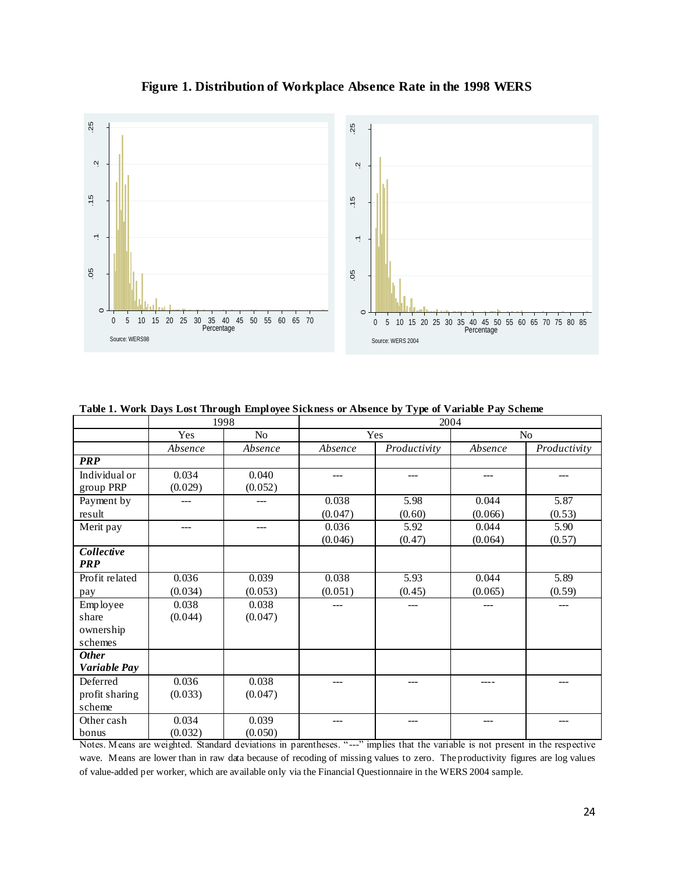



|  |  | Table 1. Work Days Lost Through Employee Sickness or Absence by Type of Variable Pay Scheme |
|--|--|---------------------------------------------------------------------------------------------|
|  |  |                                                                                             |

|                | 1998    |          | 2004    |              |         |              |
|----------------|---------|----------|---------|--------------|---------|--------------|
|                | Yes     | $\rm No$ |         | Yes          |         | No           |
|                |         |          |         |              |         |              |
|                | Absence | Absence  | Absence | Productivity | Absence | Productivity |
| <b>PRP</b>     |         |          |         |              |         |              |
| Individual or  | 0.034   | 0.040    |         |              |         |              |
| group PRP      | (0.029) | (0.052)  |         |              |         |              |
| Payment by     | ---     | ---      | 0.038   | 5.98         | 0.044   | 5.87         |
| result         |         |          | (0.047) | (0.60)       | (0.066) | (0.53)       |
| Merit pay      |         |          | 0.036   | 5.92         | 0.044   | 5.90         |
|                |         |          | (0.046) | (0.47)       | (0.064) | (0.57)       |
| Collective     |         |          |         |              |         |              |
| <b>PRP</b>     |         |          |         |              |         |              |
| Profit related | 0.036   | 0.039    | 0.038   | 5.93         | 0.044   | 5.89         |
| pay            | (0.034) | (0.053)  | (0.051) | (0.45)       | (0.065) | (0.59)       |
| Employee       | 0.038   | 0.038    | ---     | ---          |         | ---          |
| share          | (0.044) | (0.047)  |         |              |         |              |
| ownership      |         |          |         |              |         |              |
| schemes        |         |          |         |              |         |              |
| <b>Other</b>   |         |          |         |              |         |              |
| Variable Pay   |         |          |         |              |         |              |
| Deferred       | 0.036   | 0.038    | ---     |              |         | ---          |
| profit sharing | (0.033) | (0.047)  |         |              |         |              |
| scheme         |         |          |         |              |         |              |
| Other cash     | 0.034   | 0.039    | ---     |              |         | ---          |
| bonus          | (0.032) | (0.050)  |         |              |         |              |

Notes. Means are weighted. Standard deviations in parentheses. "---" implies that the variable is not present in the respective wave. Means are lower than in raw data because of recoding of missing values to zero. The productivity figures are log values of value-added per worker, which are available only via the Financial Questionnaire in the WERS 2004 sample.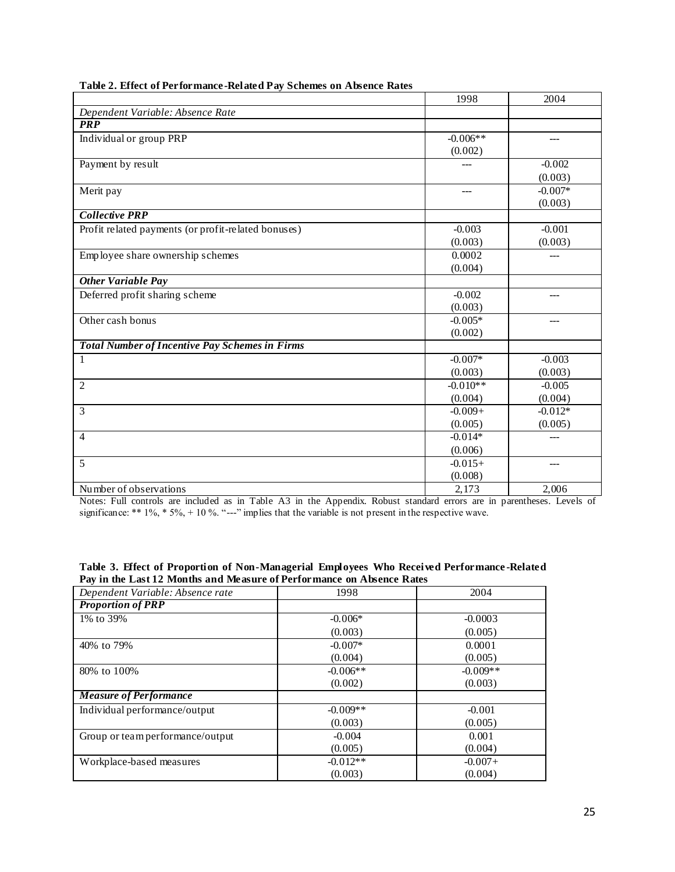|                                                       | 1998       | 2004      |
|-------------------------------------------------------|------------|-----------|
| Dependent Variable: Absence Rate                      |            |           |
| <b>PRP</b>                                            |            |           |
| Individual or group PRP                               | $-0.006**$ | ---       |
|                                                       | (0.002)    |           |
| Payment by result                                     |            | $-0.002$  |
|                                                       |            | (0.003)   |
| Merit pay                                             | ---        | $-0.007*$ |
|                                                       |            | (0.003)   |
| <b>Collective PRP</b>                                 |            |           |
| Profit related payments (or profit-related bonuses)   | $-0.003$   | $-0.001$  |
|                                                       | (0.003)    | (0.003)   |
| Employee share ownership schemes                      | 0.0002     |           |
|                                                       | (0.004)    |           |
| <b>Other Variable Pay</b>                             |            |           |
| Deferred profit sharing scheme                        | $-0.002$   |           |
|                                                       | (0.003)    |           |
| Other cash bonus                                      | $-0.005*$  | $- - -$   |
|                                                       | (0.002)    |           |
| <b>Total Number of Incentive Pay Schemes in Firms</b> |            |           |
| $\mathbf{1}$                                          | $-0.007*$  | $-0.003$  |
|                                                       | (0.003)    | (0.003)   |
| $\overline{2}$                                        | $-0.010**$ | $-0.005$  |
|                                                       | (0.004)    | (0.004)   |
| 3                                                     | $-0.009+$  | $-0.012*$ |
|                                                       | (0.005)    | (0.005)   |
| $\overline{4}$                                        | $-0.014*$  | $---$     |
|                                                       | (0.006)    |           |
| 5                                                     | $-0.015+$  | $- - -$   |
|                                                       | (0.008)    |           |
| Number of observations                                | 2,173      | 2,006     |

#### **Table 2. Effect of Performance -Related Pay Schemes on Absence Rates**

Notes: Full controls are included as in Table A3 in the Appendix. Robust standard errors are in parentheses. Levels of significance:  $** 1\%, * 5\%, +10\%, ---$  implies that the variable is not present in the respective wave.

| Dependent Variable: Absence rate | 1998       | 2004       |
|----------------------------------|------------|------------|
| <b>Proportion of PRP</b>         |            |            |
| 1% to 39%                        | $-0.006*$  | $-0.0003$  |
|                                  | (0.003)    | (0.005)    |
| 40% to 79%                       | $-0.007*$  | 0.0001     |
|                                  | (0.004)    | (0.005)    |
| 80% to 100%                      | $-0.006**$ | $-0.009**$ |
|                                  | (0.002)    | (0.003)    |
| <b>Measure of Performance</b>    |            |            |
| Individual performance/output    | $-0.009**$ | $-0.001$   |
|                                  | (0.003)    | (0.005)    |
| Group or team performance/output | $-0.004$   | 0.001      |
|                                  | (0.005)    | (0.004)    |
| Workplace-based measures         | $-0.012**$ | $-0.007+$  |
|                                  | (0.003)    | (0.004)    |

**Table 3. Effect of Proportion of Non-Managerial Employees Who Received Performance -Related Pay in the Last 12 Months and Measure of Performance on Absence Rates**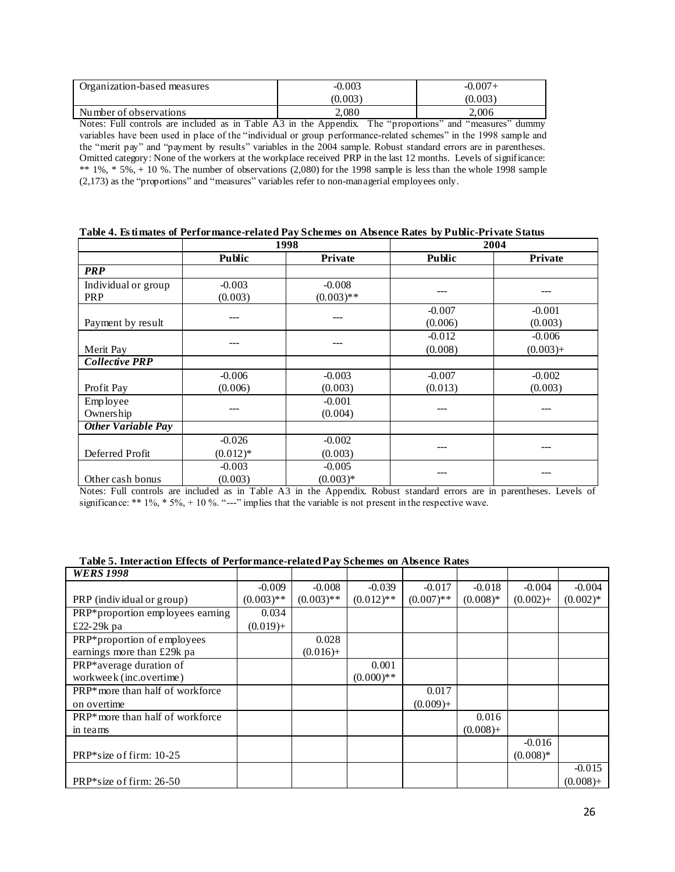| Organization-based measures | $-0.003$ | $-0.007+$ |
|-----------------------------|----------|-----------|
|                             | (0.003)  | (0.003)   |
| Number of observations      | 2,080    | 2.006     |

Notes: Full controls are included as in Table A3 in the Appendix. The "proportions" and "measures" dummy variables have been used in place of the "individual or group performance-related schemes" in the 1998 sample and the "merit pay" and "payment by results" variables in the 2004 sample. Robust standard errors are in parentheses. Omitted category: None of the workers at the workplace received PRP in the last 12 months. Levels of significance: \*\* 1%, \* 5%, + 10 %. The number of observations (2,080) for the 1998 sample is less than the whole 1998 sample (2,173) as the "proportions" and "measures" variables refer to non-managerial employees only.

|                           |               | 1998           |               | 2004           |
|---------------------------|---------------|----------------|---------------|----------------|
|                           | <b>Public</b> | <b>Private</b> | <b>Public</b> | <b>Private</b> |
| <b>PRP</b>                |               |                |               |                |
| Individual or group       | $-0.003$      | $-0.008$       |               |                |
| <b>PRP</b>                | (0.003)       | $(0.003)$ **   | ---           |                |
|                           |               |                | $-0.007$      | $-0.001$       |
| Payment by result         |               |                | (0.006)       | (0.003)        |
|                           |               |                | $-0.012$      | $-0.006$       |
| Merit Pay                 | ---           |                | (0.008)       | $(0.003) +$    |
| <b>Collective PRP</b>     |               |                |               |                |
|                           | $-0.006$      | $-0.003$       | $-0.007$      | $-0.002$       |
| Profit Pay                | (0.006)       | (0.003)        | (0.013)       | (0.003)        |
| Employee                  |               | $-0.001$       |               |                |
| Ownership                 |               | (0.004)        |               |                |
| <b>Other Variable Pay</b> |               |                |               |                |
|                           | $-0.026$      | $-0.002$       |               |                |
| Deferred Profit           | $(0.012)*$    | (0.003)        | ---           |                |
|                           | $-0.003$      | $-0.005$       |               |                |
| Other cash bonus          | (0.003)       | $(0.003)*$     | ---           |                |

**Table 4. Es timates of Performance-related Pay Schemes on Absence Rates by Public-Private Status**

Notes: Full controls are included as in Table A3 in the Appendix. Robust standard errors are in parentheses. Levels of significance: \*\* 1%, \* 5%, + 10%. "---" implies that the variable is not present in the respective wave.

| Table 5. Interaction Effects of Performance-related Pay Schemes on Absence Rates |  |  |  |
|----------------------------------------------------------------------------------|--|--|--|
|                                                                                  |  |  |  |

| <b>WERS 1998</b>                             |              |              |              |              |             |             |             |
|----------------------------------------------|--------------|--------------|--------------|--------------|-------------|-------------|-------------|
|                                              | $-0.009$     | $-0.008$     | $-0.039$     | $-0.017$     | $-0.018$    | $-0.004$    | $-0.004$    |
| PRP (individual or group)                    | $(0.003)$ ** | $(0.003)$ ** | $(0.012)$ ** | $(0.007)$ ** | $(0.008)*$  | $(0.002) +$ | $(0.002)$ * |
| PRP*proportion employees earning             | 0.034        |              |              |              |             |             |             |
| £22-29k pa                                   | $(0.019) +$  |              |              |              |             |             |             |
| PRP*proportion of employees                  |              | 0.028        |              |              |             |             |             |
| earnings more than £29k pa                   |              | $(0.016) +$  |              |              |             |             |             |
| PRP*average duration of                      |              |              | 0.001        |              |             |             |             |
| workweek (inc.overtime)                      |              |              | $(0.000)$ ** |              |             |             |             |
| PRP <sup>*</sup> more than half of workforce |              |              |              | 0.017        |             |             |             |
| on overtime                                  |              |              |              | $(0.009) +$  |             |             |             |
| PRP <sup>*</sup> more than half of workforce |              |              |              |              | 0.016       |             |             |
| in teams                                     |              |              |              |              | $(0.008) +$ |             |             |
|                                              |              |              |              |              |             | $-0.016$    |             |
| PRP*size of firm: $10-25$                    |              |              |              |              |             | $(0.008)$ * |             |
|                                              |              |              |              |              |             |             | $-0.015$    |
| PRP*size of firm: $26-50$                    |              |              |              |              |             |             | $(0.008) +$ |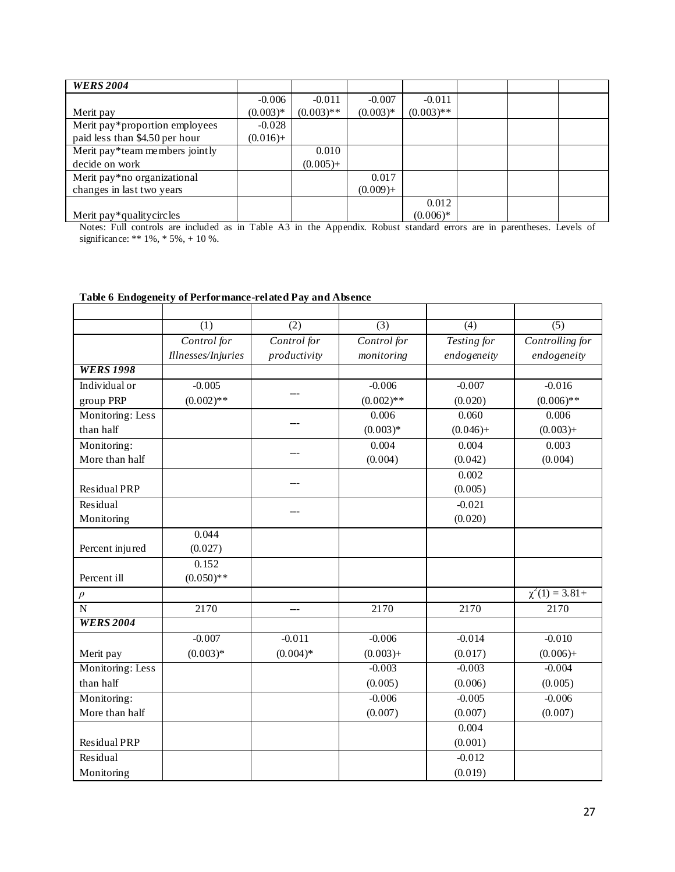| <b>WERS 2004</b>               |             |              |             |              |  |  |
|--------------------------------|-------------|--------------|-------------|--------------|--|--|
|                                | $-0.006$    | $-0.011$     | $-0.007$    | $-0.011$     |  |  |
| Merit pay                      | $(0.003)*$  | $(0.003)$ ** | $(0.003)*$  | $(0.003)$ ** |  |  |
| Merit pay*proportion employees | $-0.028$    |              |             |              |  |  |
| paid less than \$4.50 per hour | $(0.016) +$ |              |             |              |  |  |
| Merit pay*team members jointly |             | 0.010        |             |              |  |  |
| decide on work                 |             | $(0.005) +$  |             |              |  |  |
| Merit pay*no organizational    |             |              | 0.017       |              |  |  |
| changes in last two years      |             |              | $(0.009) +$ |              |  |  |
|                                |             |              |             | 0.012        |  |  |
| Merit pay*qualitycircles       |             |              |             | $(0.006)*$   |  |  |

Notes: Full controls are included as in Table A3 in the Appendix. Robust standard errors are in parentheses. Levels of significance: \*\* 1%, \* 5%, + 10 %.

|                     | (1)                | (2)          | $\overline{(3)}$ | (4)         | (5)                  |
|---------------------|--------------------|--------------|------------------|-------------|----------------------|
|                     | Control for        | Control for  | Control for      | Testing for | Controlling for      |
|                     | Illnesses/Injuries | productivity | monitoring       | endogeneity | endogeneity          |
| <b>WERS 1998</b>    |                    |              |                  |             |                      |
| Individual or       | $-0.005$           |              | $-0.006$         | $-0.007$    | $-0.016$             |
| group PRP           | $(0.002)$ **       |              | $(0.002)$ **     | (0.020)     | $(0.006)$ **         |
| Monitoring: Less    |                    |              | 0.006            | 0.060       | 0.006                |
| than half           |                    |              | $(0.003)*$       | $(0.046) +$ | $(0.003) +$          |
| Monitoring:         |                    |              | 0.004            | 0.004       | 0.003                |
| More than half      |                    |              | (0.004)          | (0.042)     | (0.004)              |
|                     |                    |              |                  |             |                      |
|                     |                    |              |                  | 0.002       |                      |
| <b>Residual PRP</b> |                    |              |                  | (0.005)     |                      |
| Residual            |                    |              |                  | $-0.021$    |                      |
| Monitoring          |                    |              |                  | (0.020)     |                      |
|                     | 0.044              |              |                  |             |                      |
| Percent injured     | (0.027)            |              |                  |             |                      |
|                     | 0.152              |              |                  |             |                      |
| Percent ill         | $(0.050)$ **       |              |                  |             |                      |
| $\rho$              |                    |              |                  |             | $\chi^2(1) = 3.81 +$ |
| $\overline{N}$      | 2170               | $---$        | 2170             | 2170        | 2170                 |
| <b>WERS 2004</b>    |                    |              |                  |             |                      |
|                     | $-0.007$           | $-0.011$     | $-0.006$         | $-0.014$    | $-0.010$             |
| Merit pay           | $(0.003)*$         | $(0.004)*$   | $(0.003) +$      | (0.017)     | $(0.006) +$          |
| Monitoring: Less    |                    |              | $-0.003$         | $-0.003$    | $-0.004$             |
| than half           |                    |              | (0.005)          | (0.006)     | (0.005)              |
| Monitoring:         |                    |              | $-0.006$         | $-0.005$    | $-0.006$             |
| More than half      |                    |              | (0.007)          | (0.007)     | (0.007)              |
|                     |                    |              |                  | 0.004       |                      |
| <b>Residual PRP</b> |                    |              |                  | (0.001)     |                      |
| Residual            |                    |              |                  | $-0.012$    |                      |
| Monitoring          |                    |              |                  | (0.019)     |                      |

### **Table 6 Endogeneity of Performance-related Pay and Absence**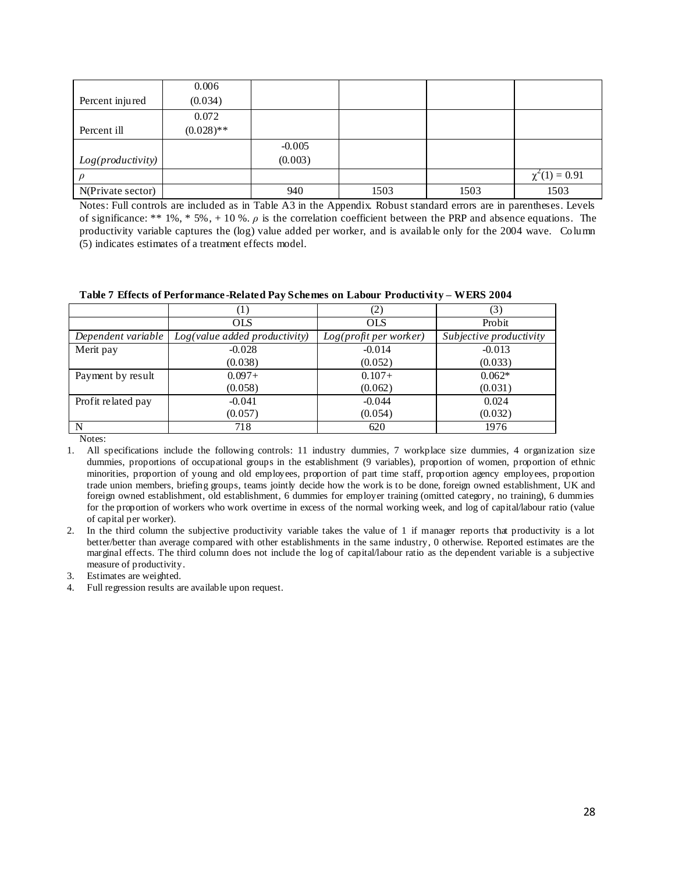|                   | 0.006        |          |      |      |                    |
|-------------------|--------------|----------|------|------|--------------------|
| Percent injured   | (0.034)      |          |      |      |                    |
|                   | 0.072        |          |      |      |                    |
| Percent ill       | $(0.028)$ ** |          |      |      |                    |
|                   |              | $-0.005$ |      |      |                    |
| Log(producity)    |              | (0.003)  |      |      |                    |
|                   |              |          |      |      | $\chi^2(1) = 0.91$ |
| N(Private sector) |              | 940      | 1503 | 1503 | 1503               |

Notes: Full controls are included as in Table A3 in the Appendix. Robust standard errors are in parentheses. Levels of significance: \*\* 1%, \* 5%, + 10 %. *ρ* is the correlation coefficient between the PRP and absence equations. The productivity variable captures the (log) value added per worker, and is available only for the 2004 wave. Column (5) indicates estimates of a treatment effects model.

|                    | w                                   | 2)                         |                         |
|--------------------|-------------------------------------|----------------------------|-------------------------|
|                    | <b>OLS</b>                          | <b>OLS</b>                 | Probit                  |
| Dependent variable | $Log(value \ added \ productivity)$ | $Log(profit\ per\ worker)$ | Subjective productivity |
| Merit pay          | $-0.028$                            | $-0.014$                   | $-0.013$                |
|                    | (0.038)                             | (0.052)                    | (0.033)                 |
| Payment by result  | $0.097 +$                           | $0.107+$                   | $0.062*$                |
|                    | (0.058)                             | (0.062)                    | (0.031)                 |
| Profit related pay | $-0.041$                            | $-0.044$                   | 0.024                   |
|                    | (0.057)                             | (0.054)                    | (0.032)                 |
| N                  | 718                                 | 620                        | 1976                    |

Notes:

- 2. In the third column the subjective productivity variable takes the value of 1 if manager reports that productivity is a lot better/better than average compared with other establishments in the same industry, 0 otherwise. Reported estimates are the marginal effects. The third column does not include the log of capital/labour ratio as the dependent variable is a subjective measure of productivity.
- 3. Estimates are weighted.
- 4. Full regression results are available upon request.

<sup>1.</sup> All specifications include the following controls: 11 industry dummies, 7 workplace size dummies, 4 organization size dummies, proportions of occupational groups in the establishment (9 variables), proportion of women, proportion of ethnic minorities, proportion of young and old employees, proportion of part time staff, proportion agency employees, proportion trade union members, briefing groups, teams jointly decide how the work is to be done, foreign owned establishment, UK and foreign owned establishment, old establishment, 6 dummies for employer training (omitted category, no training), 6 dummies for the proportion of workers who work overtime in excess of the normal working week, and log of capital/labour ratio (value of capital per worker).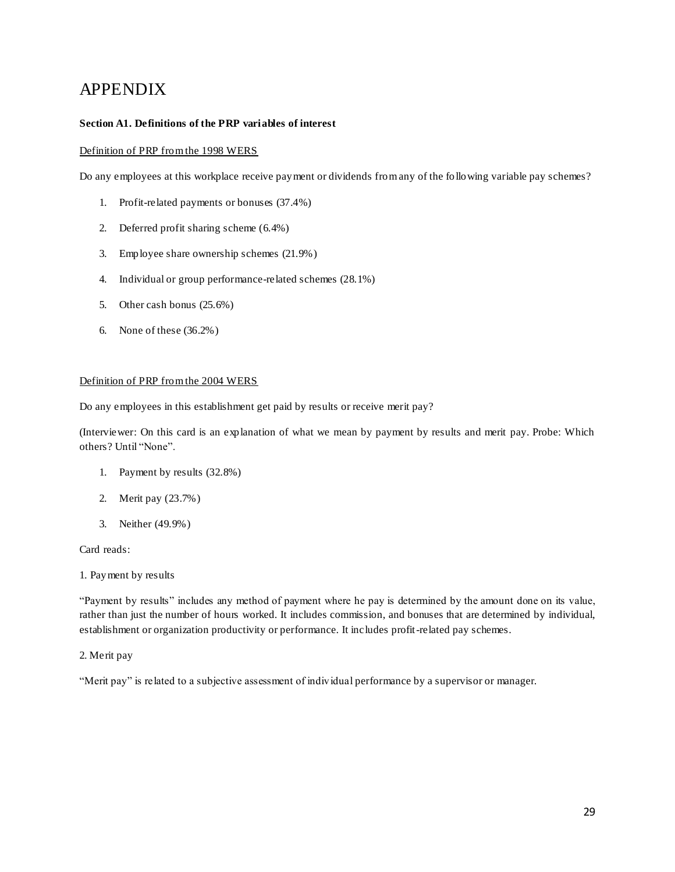# APPENDIX

### **Section A1. Definitions of the PRP variables of interest**

#### Definition of PRP from the 1998 WERS

Do any employees at this workplace receive payment or dividends from any of the following variable pay schemes?

- 1. Profit-related payments or bonuses (37.4%)
- 2. Deferred profit sharing scheme (6.4%)
- 3. Employee share ownership schemes (21.9%)
- 4. Individual or group performance-related schemes (28.1%)
- 5. Other cash bonus (25.6%)
- 6. None of these (36.2%)

#### Definition of PRP from the 2004 WERS

Do any employees in this establishment get paid by results or receive merit pay?

(Interviewer: On this card is an explanation of what we mean by payment by results and merit pay. Probe: Which others? Until "None".

- 1. Payment by results (32.8%)
- 2. Merit pay (23.7%)
- 3. Neither (49.9%)

Card reads:

1. Payment by results

"Payment by results" includes any method of payment where he pay is determined by the amount done on its value, rather than just the number of hours worked. It includes commission, and bonuses that are determined by individual, establishment or organization productivity or performance. It includes profit-related pay schemes.

2. Merit pay

"Merit pay" is related to a subjective assessment of individual performance by a supervisor or manager.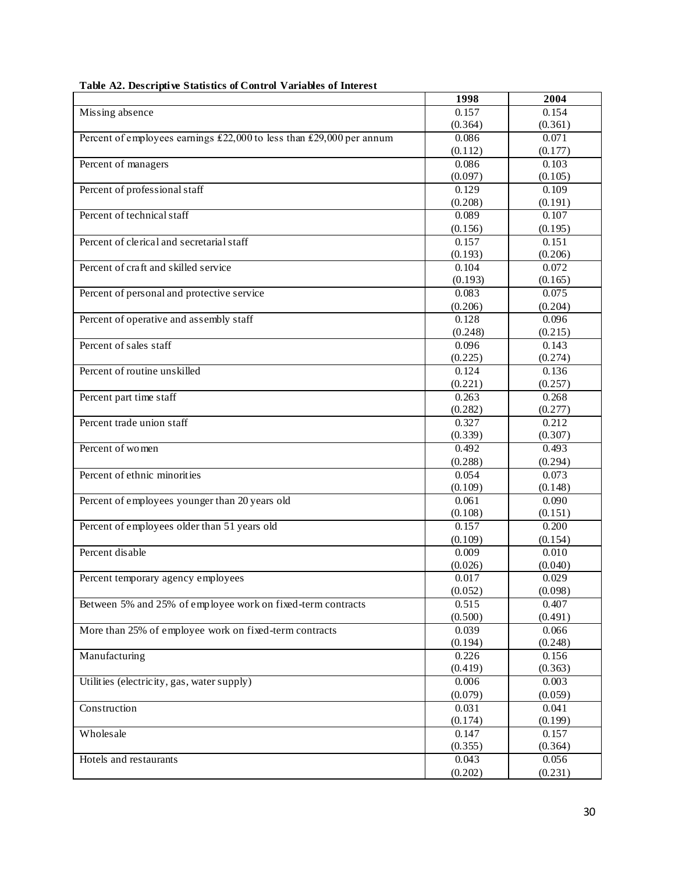|                                                                      | 1998             | 2004             |
|----------------------------------------------------------------------|------------------|------------------|
| Missing absence                                                      | 0.157            | 0.154            |
|                                                                      | (0.364)          | (0.361)          |
| Percent of employees earnings £22,000 to less than £29,000 per annum | 0.086            | 0.071            |
|                                                                      | (0.112)          | (0.177)          |
| Percent of managers                                                  | 0.086            | 0.103            |
|                                                                      | (0.097)          | (0.105)          |
| Percent of professional staff                                        | 0.129            | 0.109            |
|                                                                      | (0.208)          | (0.191)          |
| Percent of technical staff                                           | 0.089            | 0.107            |
|                                                                      | (0.156)          | (0.195)          |
| Percent of clerical and secretarial staff                            | 0.157            | 0.151            |
|                                                                      | (0.193)          | (0.206)          |
| Percent of craft and skilled service                                 | 0.104            | 0.072            |
|                                                                      | (0.193)          | (0.165)          |
| Percent of personal and protective service                           | 0.083            | 0.075            |
|                                                                      | (0.206)          | (0.204)          |
| Percent of operative and assembly staff                              | 0.128            | 0.096            |
|                                                                      | (0.248)          | (0.215)          |
| Percent of sales staff                                               | 0.096            | 0.143            |
|                                                                      | (0.225)          | (0.274)          |
| Percent of routine unskilled                                         | 0.124            | 0.136            |
|                                                                      | (0.221)          | (0.257)          |
| Percent part time staff                                              | 0.263            | 0.268            |
|                                                                      | (0.282)          | (0.277)          |
| Percent trade union staff                                            | 0.327            | 0.212            |
|                                                                      | (0.339)          | (0.307)          |
| Percent of women                                                     | 0.492            | 0.493            |
|                                                                      | (0.288)          | (0.294)          |
| Percent of ethnic minorities                                         | 0.054            | 0.073            |
|                                                                      | (0.109)          | (0.148)          |
| Percent of employees younger than 20 years old                       | 0.061            | 0.090            |
|                                                                      | (0.108)<br>0.157 | (0.151)          |
| Percent of employees older than 51 years old                         |                  | 0.200            |
|                                                                      | (0.109)          | (0.154)          |
| Percent disable                                                      | 0.009            | 0.010            |
|                                                                      | (0.026)<br>0.017 | (0.040)<br>0.029 |
| Percent temporary agency employees                                   | (0.052)          | (0.098)          |
| Between 5% and 25% of employee work on fixed-term contracts          | 0.515            | 0.407            |
|                                                                      | (0.500)          | (0.491)          |
| More than 25% of employee work on fixed-term contracts               | 0.039            | 0.066            |
|                                                                      | (0.194)          | (0.248)          |
| Manufacturing                                                        | 0.226            | 0.156            |
|                                                                      | (0.419)          | (0.363)          |
| Utilities (electricity, gas, water supply)                           | 0.006            | 0.003            |
|                                                                      | (0.079)          | (0.059)          |
| Construction                                                         | 0.031            | 0.041            |
|                                                                      | (0.174)          | (0.199)          |
| Wholesale                                                            | 0.147            | 0.157            |
|                                                                      | (0.355)          | (0.364)          |
| Hotels and restaurants                                               | 0.043            | 0.056            |
|                                                                      | (0.202)          | (0.231)          |

# **Table A2. Descriptive Statistics of Control Variables of Interest**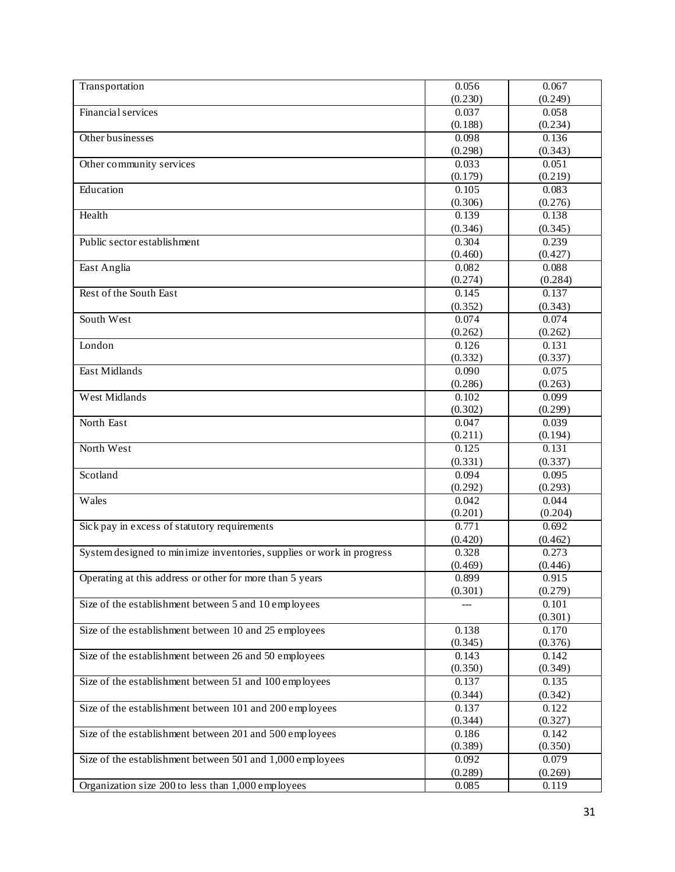| Transportation                                                        | 0.056   | 0.067   |
|-----------------------------------------------------------------------|---------|---------|
|                                                                       | (0.230) | (0.249) |
| Financial services                                                    | 0.037   | 0.058   |
|                                                                       | (0.188) | (0.234) |
| Other businesses                                                      | 0.098   | 0.136   |
|                                                                       | (0.298) | (0.343) |
| Other community services                                              | 0.033   | 0.051   |
|                                                                       | (0.179) | (0.219) |
| Education                                                             | 0.105   | 0.083   |
|                                                                       | (0.306) | (0.276) |
| Health                                                                | 0.139   | 0.138   |
|                                                                       | (0.346) | (0.345) |
| Public sector establishment                                           | 0.304   | 0.239   |
|                                                                       | (0.460) | (0.427) |
| East Anglia                                                           | 0.082   | 0.088   |
|                                                                       | (0.274) | (0.284) |
| Rest of the South East                                                | 0.145   | 0.137   |
|                                                                       | (0.352) | (0.343) |
| South West                                                            | 0.074   | 0.074   |
|                                                                       | (0.262) | (0.262) |
| London                                                                | 0.126   | 0.131   |
|                                                                       | (0.332) | (0.337) |
| East Midlands                                                         | 0.090   | 0.075   |
|                                                                       | (0.286) | (0.263) |
| West Midlands                                                         | 0.102   | 0.099   |
|                                                                       | (0.302) | (0.299) |
| North East                                                            | 0.047   | 0.039   |
|                                                                       | (0.211) | (0.194) |
| North West                                                            | 0.125   | 0.131   |
|                                                                       | (0.331) | (0.337) |
| Scotland                                                              | 0.094   | 0.095   |
|                                                                       | (0.292) | (0.293) |
| Wales                                                                 | 0.042   | 0.044   |
|                                                                       | (0.201) | (0.204) |
| Sick pay in excess of statutory requirements                          | 0.771   | 0.692   |
|                                                                       | (0.420) | (0.462) |
| System designed to minimize inventories, supplies or work in progress | 0.328   | 0.273   |
|                                                                       | (0.469) | (0.446) |
| Operating at this address or other for more than 5 years              | 0.899   | 0.915   |
|                                                                       | (0.301) | (0.279) |
| Size of the establishment between 5 and 10 employees                  |         | 0.101   |
|                                                                       |         | (0.301) |
| Size of the establishment between 10 and 25 employees                 | 0.138   | 0.170   |
|                                                                       | (0.345) | (0.376) |
| Size of the establishment between 26 and 50 employees                 | 0.143   | 0.142   |
|                                                                       | (0.350) | (0.349) |
| Size of the establishment between 51 and 100 employees                | 0.137   | 0.135   |
|                                                                       | (0.344) | (0.342) |
| Size of the establishment between 101 and 200 employees               | 0.137   | 0.122   |
|                                                                       | (0.344) | (0.327) |
| Size of the establishment between 201 and 500 employees               | 0.186   | 0.142   |
|                                                                       | (0.389) | (0.350) |
| Size of the establishment between 501 and 1,000 employees             | 0.092   | 0.079   |
|                                                                       | (0.289) | (0.269) |
| Organization size 200 to less than 1,000 employees                    | 0.085   | 0.119   |
|                                                                       |         |         |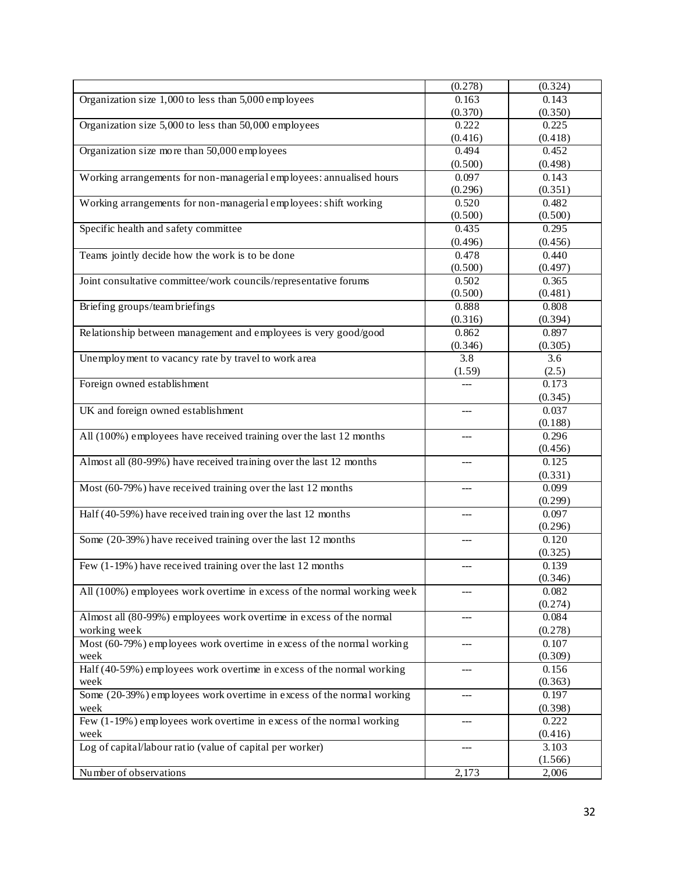|                                                                         | (0.278) | (0.324)          |
|-------------------------------------------------------------------------|---------|------------------|
| Organization size 1,000 to less than 5,000 employees                    | 0.163   | 0.143            |
|                                                                         | (0.370) | (0.350)          |
| Organization size 5,000 to less than 50,000 employees                   | 0.222   | 0.225            |
|                                                                         | (0.416) | (0.418)          |
| Organization size more than 50,000 employees                            | 0.494   | 0.452            |
|                                                                         | (0.500) | (0.498)          |
| Working arrangements for non-managerial employees: annualised hours     | 0.097   | 0.143            |
|                                                                         | (0.296) | (0.351)          |
| Working arrangements for non-managerial employees: shift working        | 0.520   | 0.482            |
|                                                                         | (0.500) | (0.500)          |
| Specific health and safety committee                                    | 0.435   | 0.295            |
|                                                                         | (0.496) | (0.456)          |
| Teams jointly decide how the work is to be done                         | 0.478   | 0.440            |
|                                                                         | (0.500) | (0.497)          |
| Joint consultative committee/work councils/representative forums        | 0.502   | 0.365            |
|                                                                         | (0.500) | (0.481)          |
| Briefing groups/team briefings                                          | 0.888   | 0.808            |
|                                                                         | (0.316) | (0.394)          |
| Relationship between management and employees is very good/good         | 0.862   | 0.897            |
|                                                                         | (0.346) | (0.305)          |
| Unemployment to vacancy rate by travel to work area                     | 3.8     | 3.6              |
|                                                                         | (1.59)  | (2.5)            |
| Foreign owned establishment                                             |         | 0.173            |
|                                                                         |         | (0.345)          |
| UK and foreign owned establishment                                      | $---$   | 0.037            |
|                                                                         |         | (0.188)          |
| All (100%) employees have received training over the last 12 months     | $---$   | 0.296            |
|                                                                         |         | (0.456)          |
| Almost all (80-99%) have received training over the last 12 months      | $---$   | 0.125            |
|                                                                         |         | (0.331)          |
| Most (60-79%) have received training over the last 12 months            | ---     | 0.099            |
|                                                                         |         | (0.299)          |
| Half (40-59%) have received training over the last 12 months            |         | 0.097            |
|                                                                         |         | (0.296)          |
| Some (20-39%) have received training over the last 12 months            | $---$   | 0.120            |
|                                                                         |         | (0.325)          |
| Few (1-19%) have received training over the last 12 months              | $-$     | 0.139            |
|                                                                         |         | (0.346)          |
| All (100%) employees work overtime in excess of the normal working week |         | 0.082            |
|                                                                         |         | (0.274)          |
| Almost all (80-99%) employees work overtime in excess of the normal     | $---$   | 0.084            |
| working week                                                            |         | (0.278)          |
| Most (60-79%) employees work overtime in excess of the normal working   | ---     | 0.107            |
| week                                                                    |         | (0.309)          |
| Half (40-59%) employees work overtime in excess of the normal working   | $---$   | 0.156            |
| week                                                                    |         | (0.363)          |
| Some (20-39%) employees work overtime in excess of the normal working   |         | 0.197            |
| week                                                                    |         | (0.398)          |
| Few (1-19%) employees work overtime in excess of the normal working     | $---$   | 0.222            |
| week<br>Log of capital/labour ratio (value of capital per worker)       |         | (0.416)<br>3.103 |
|                                                                         | ---     | (1.566)          |
| Number of observations                                                  | 2,173   | 2,006            |
|                                                                         |         |                  |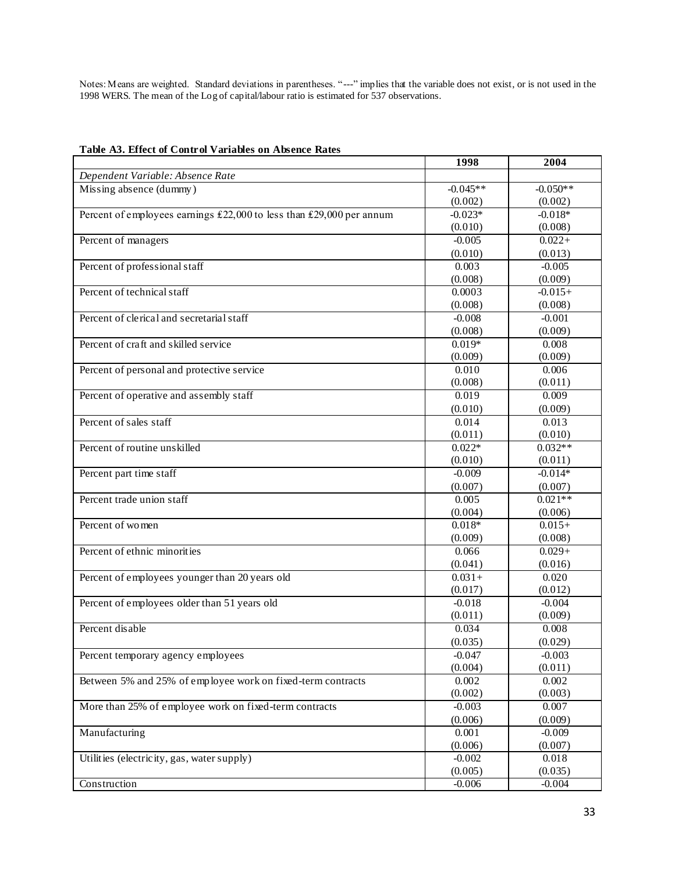Notes: Means are weighted. Standard deviations in parentheses. "---" implies that the variable does not exist, or is not used in the 1998 WERS. The mean of the Log of capital/labour ratio is estimated for 537 observations.

|                                                                      | 1998                | 2004                |
|----------------------------------------------------------------------|---------------------|---------------------|
| Dependent Variable: Absence Rate                                     |                     |                     |
| Missing absence (dummy)                                              | $-0.045**$          | $-0.050**$          |
|                                                                      | (0.002)             | (0.002)             |
| Percent of employees earnings £22,000 to less than £29,000 per annum | $-0.023*$           | $-0.018*$           |
|                                                                      | (0.010)             | (0.008)             |
| Percent of managers                                                  | $-0.005$            | $0.022 +$           |
|                                                                      | (0.010)             | (0.013)             |
| Percent of professional staff                                        | 0.003               | $-0.005$            |
|                                                                      | (0.008)             | (0.009)             |
| Percent of technical staff                                           | 0.0003              | $-0.015+$           |
|                                                                      | (0.008)             | (0.008)             |
| Percent of clerical and secretarial staff                            | $-0.008$            | $-0.001$            |
|                                                                      | (0.008)             | (0.009)             |
| Percent of craft and skilled service                                 | $0.019*$            | 0.008               |
|                                                                      | (0.009)             | (0.009)             |
| Percent of personal and protective service                           | 0.010               | 0.006               |
|                                                                      | (0.008)             | (0.011)             |
| Percent of operative and assembly staff                              | 0.019               | 0.009               |
|                                                                      | (0.010)             | (0.009)             |
| Percent of sales staff                                               | 0.014               | 0.013               |
|                                                                      | (0.011)             | (0.010)             |
| Percent of routine unskilled                                         | $0.022*$            | $0.032**$           |
|                                                                      | (0.010)             | (0.011)             |
| Percent part time staff                                              | $-0.009$            | $-0.014*$           |
|                                                                      | (0.007)             | (0.007)             |
| Percent trade union staff                                            | 0.005               | $0.021**$           |
|                                                                      | (0.004)             | (0.006)             |
| Percent of women                                                     | $0.018*$            | $0.015+$            |
|                                                                      | (0.009)             | (0.008)             |
| Percent of ethnic minorities                                         | 0.066               | $0.029 +$           |
|                                                                      | (0.041)             | (0.016)             |
| Percent of employees younger than 20 years old                       | $0.031 +$           | 0.020               |
|                                                                      | (0.017)             | (0.012)             |
| Percent of employees older than 51 years old                         | $-0.018$<br>(0.011) | $-0.004$<br>(0.009) |
| Percent disable                                                      | 0.034               | 0.008               |
|                                                                      |                     |                     |
|                                                                      | (0.035)             | (0.029)             |
| Percent temporary agency employees                                   | $-0.047$<br>(0.004) | $-0.003$<br>(0.011) |
|                                                                      | 0.002               | 0.002               |
| Between 5% and 25% of employee work on fixed-term contracts          | (0.002)             | (0.003)             |
| More than 25% of employee work on fixed-term contracts               | $-0.003$            | 0.007               |
|                                                                      | (0.006)             | (0.009)             |
|                                                                      |                     |                     |
| Manufacturing                                                        | 0.001<br>(0.006)    | $-0.009$<br>(0.007) |
| Utilities (electricity, gas, water supply)                           | $-0.002$            | 0.018               |
|                                                                      | (0.005)             | (0.035)             |
| Construction                                                         | $-0.006$            | $-0.004$            |
|                                                                      |                     |                     |

### **Table A3. Effect of Control Variables on Absence Rates**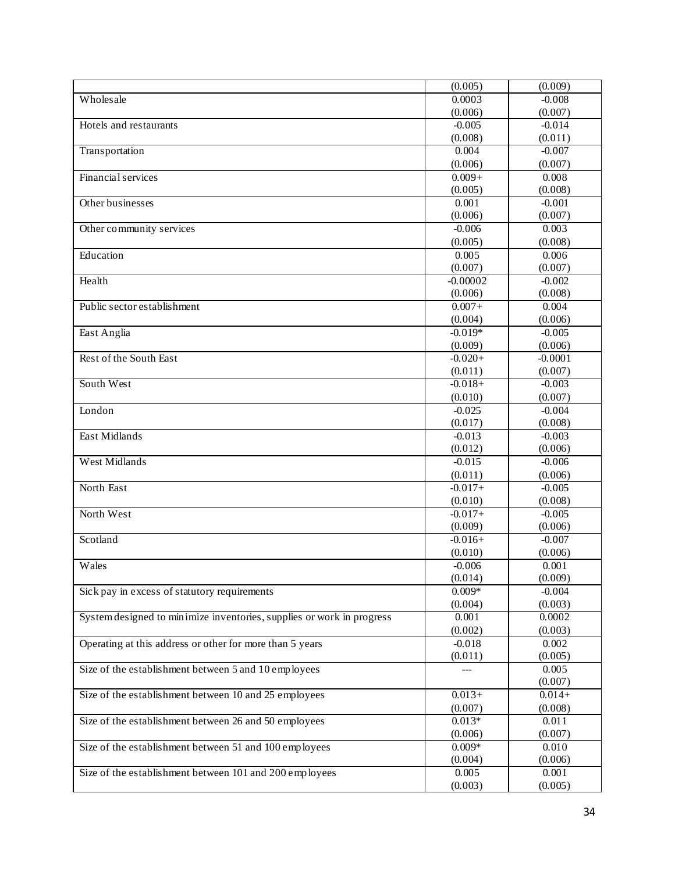|                                                                       | (0.005)             | (0.009)             |
|-----------------------------------------------------------------------|---------------------|---------------------|
| Wholesale                                                             | 0.0003              | $-0.008$            |
|                                                                       | (0.006)             | (0.007)             |
| Hotels and restaurants                                                | $-0.005$            | $-0.014$            |
|                                                                       | (0.008)             | (0.011)             |
| Transportation                                                        | 0.004               | $-0.007$            |
|                                                                       | (0.006)             | (0.007)             |
| Financial services                                                    | $0.009 +$           | 0.008               |
|                                                                       | (0.005)             | (0.008)             |
| Other businesses                                                      | 0.001               | $-0.001$            |
|                                                                       | (0.006)             | (0.007)             |
| Other community services                                              | $-0.006$            | 0.003               |
|                                                                       | (0.005)             | (0.008)             |
| Education                                                             | 0.005               | 0.006               |
|                                                                       | (0.007)             | (0.007)             |
| Health                                                                | $-0.00002$          | $-0.002$            |
|                                                                       | (0.006)             | (0.008)             |
| Public sector establishment                                           | $0.007 +$           | 0.004               |
|                                                                       | (0.004)             | (0.006)             |
| East Anglia                                                           | $-0.019*$           | $-0.005$            |
|                                                                       | (0.009)             | (0.006)             |
| Rest of the South East                                                | $-0.020+$           | $-0.0001$           |
|                                                                       | (0.011)             | (0.007)             |
| South West                                                            | $-0.018+$           | $-0.003$            |
|                                                                       | (0.010)             | (0.007)             |
| London                                                                | $-0.025$            | $-0.004$            |
|                                                                       | (0.017)             | (0.008)             |
| East Midlands                                                         | $-0.013$            | $-0.003$            |
|                                                                       | (0.012)             | (0.006)             |
| <b>West Midlands</b>                                                  | $-0.015$            | $-0.006$            |
|                                                                       | (0.011)             | (0.006)             |
| North East                                                            | $-0.017+$           | $-0.005$            |
|                                                                       | (0.010)             | (0.008)             |
| North West                                                            | $-0.017+$           | $-0.005$            |
|                                                                       | (0.009)             | (0.006)             |
| Scotland                                                              | $-0.016+$           | $-0.007$            |
|                                                                       | (0.010)             | (0.006)             |
| Wales                                                                 | $-0.006$            | 0.001               |
|                                                                       | (0.014)             | (0.009)             |
| Sick pay in excess of statutory requirements                          | $0.009*$            | $-0.004$            |
|                                                                       | (0.004)             | (0.003)             |
| System designed to minimize inventories, supplies or work in progress | 0.001               | 0.0002              |
|                                                                       | (0.002)             | (0.003)             |
| Operating at this address or other for more than 5 years              | $-0.018$            | 0.002               |
|                                                                       | (0.011)             | (0.005)             |
| Size of the establishment between 5 and 10 employees                  |                     | 0.005               |
|                                                                       | $0.013+$            | (0.007)<br>$0.014+$ |
| Size of the establishment between 10 and 25 employees                 | (0.007)             |                     |
|                                                                       | $0.013*$            | (0.008)             |
| Size of the establishment between 26 and 50 employees                 |                     | 0.011<br>(0.007)    |
| Size of the establishment between 51 and 100 employees                | (0.006)<br>$0.009*$ | 0.010               |
|                                                                       | (0.004)             | (0.006)             |
| Size of the establishment between 101 and 200 employees               | 0.005               | 0.001               |
|                                                                       | (0.003)             | (0.005)             |
|                                                                       |                     |                     |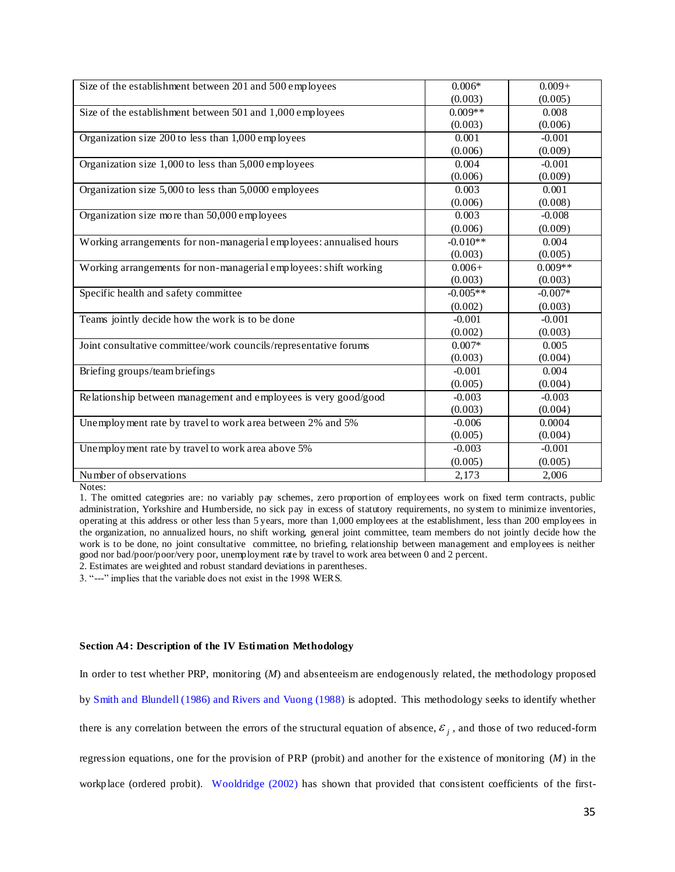| Size of the establishment between 201 and 500 employees             | $0.006*$   | $0.009 +$ |
|---------------------------------------------------------------------|------------|-----------|
|                                                                     | (0.003)    | (0.005)   |
| Size of the establishment between 501 and 1,000 employees           | $0.009**$  | 0.008     |
|                                                                     | (0.003)    | (0.006)   |
| Organization size 200 to less than 1,000 employees                  | 0.001      | $-0.001$  |
|                                                                     | (0.006)    | (0.009)   |
| Organization size 1,000 to less than 5,000 employees                | 0.004      | $-0.001$  |
|                                                                     | (0.006)    | (0.009)   |
| Organization size 5,000 to less than 5,0000 employees               | 0.003      | 0.001     |
|                                                                     | (0.006)    | (0.008)   |
| Organization size more than 50,000 employees                        | 0.003      | $-0.008$  |
|                                                                     | (0.006)    | (0.009)   |
| Working arrangements for non-managerial employees: annualised hours | $-0.010**$ | 0.004     |
|                                                                     | (0.003)    | (0.005)   |
| Working arrangements for non-managerial employees: shift working    | $0.006+$   | $0.009**$ |
|                                                                     | (0.003)    | (0.003)   |
| Specific health and safety committee                                | $-0.005**$ | $-0.007*$ |
|                                                                     | (0.002)    | (0.003)   |
| Teams jointly decide how the work is to be done                     | $-0.001$   | $-0.001$  |
|                                                                     | (0.002)    | (0.003)   |
| Joint consultative committee/work councils/representative forums    | $0.007*$   | 0.005     |
|                                                                     | (0.003)    | (0.004)   |
| Briefing groups/team briefings                                      | $-0.001$   | 0.004     |
|                                                                     | (0.005)    | (0.004)   |
| Relationship between management and employees is very good/good     | $-0.003$   | $-0.003$  |
|                                                                     | (0.003)    | (0.004)   |
| Unemployment rate by travel to work area between 2% and 5%          | $-0.006$   | 0.0004    |
|                                                                     | (0.005)    | (0.004)   |
| Unemployment rate by travel to work area above 5%                   | $-0.003$   | $-0.001$  |
|                                                                     | (0.005)    | (0.005)   |
| Number of observations                                              | 2,173      | 2,006     |

Notes:

1. The omitted categories are: no variably pay schemes, zero proportion of employees work on fixed term contracts, public administration, Yorkshire and Humberside, no sick pay in excess of statutory requirements, no system to minimize inventories, operating at this address or other less than 5 years, more than 1,000 employees at the establishment, less than 200 employees in the organization, no annualized hours, no shift working, general joint committee, team members do not jointly decide how the work is to be done, no joint consultative committee, no briefing, relationship between management and employees is neither good nor bad/poor/poor/very poor, unemployment rate by travel to work area between 0 and 2 percent.

2. Estimates are weighted and robust standard deviations in parentheses.

3. "---" implies that the variable does not exist in the 1998 WERS.

#### **Section A4: Description of the IV Estimation Methodology**

In order to test whether PRP, monitoring (*M*) and absenteeism are endogenously related, the methodology proposed by Smith and Blundell (1986) and Rivers and Vuong (1988) is adopted. This methodology seeks to identify whether there is any correlation between the errors of the structural equation of absence,  $\varepsilon_j$ , and those of two reduced-form regression equations, one for the provision of PRP (probit) and another for the existence of monitoring (*M*) in the workplace (ordered probit). Wooldridge (2002) has shown that provided that consistent coefficients of the first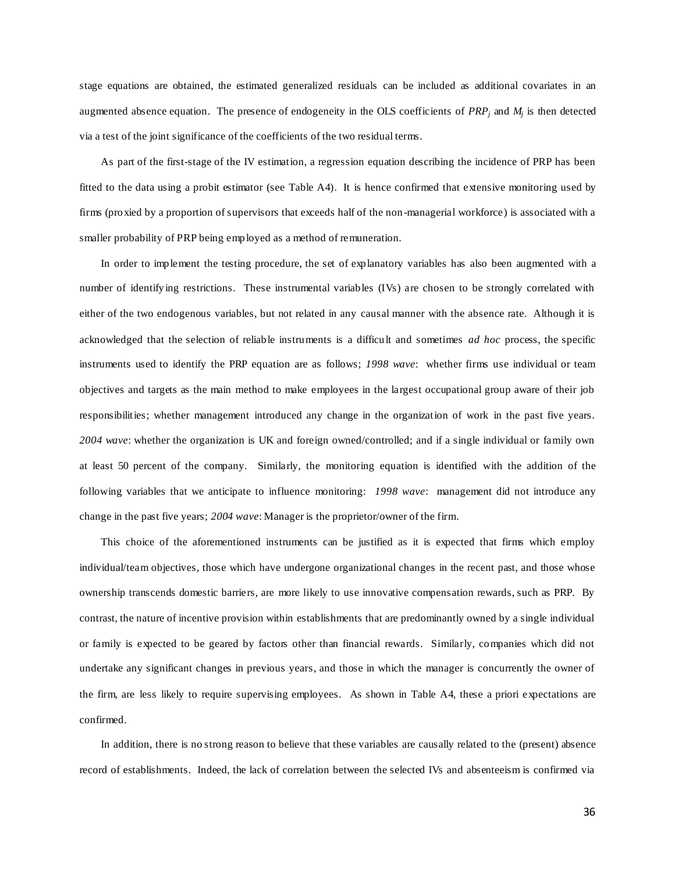stage equations are obtained, the estimated generalized residuals can be included as additional covariates in an augmented absence equation. The presence of endogeneity in the OLS coefficients of  $PRP_j$  and  $M_j$  is then detected via a test of the joint significance of the coefficients of the two residual terms.

As part of the first-stage of the IV estimation, a regression equation describing the incidence of PRP has been fitted to the data using a probit estimator (see Table A4). It is hence confirmed that extensive monitoring used by firms (proxied by a proportion of supervisors that exceeds half of the non-managerial workforce) is associated with a smaller probability of PRP being employed as a method of remuneration.

In order to implement the testing procedure, the set of explanatory variables has also been augmented with a number of identifying restrictions. These instrumental variables (IVs) are chosen to be strongly correlated with either of the two endogenous variables, but not related in any causal manner with the absence rate. Although it is acknowledged that the selection of reliable instruments is a difficult and sometimes *ad hoc* process, the specific instruments used to identify the PRP equation are as follows; *1998 wave*: whether firms use individual or team objectives and targets as the main method to make employees in the largest occupational group aware of their job responsibilities; whether management introduced any change in the organization of work in the past five years. *2004 wave*: whether the organization is UK and foreign owned/controlled; and if a single individual or family own at least 50 percent of the company. Similarly, the monitoring equation is identified with the addition of the following variables that we anticipate to influence monitoring: *1998 wave*: management did not introduce any change in the past five years; *2004 wave*: Manager is the proprietor/owner of the firm.

This choice of the aforementioned instruments can be justified as it is expected that firms which employ individual/team objectives, those which have undergone organizational changes in the recent past, and those whose ownership transcends domestic barriers, are more likely to use innovative compensation rewards, such as PRP. By contrast, the nature of incentive provision within establishments that are predominantly owned by a single individual or family is expected to be geared by factors other than financial rewards. Similarly, companies which did not undertake any significant changes in previous years, and those in which the manager is concurrently the owner of the firm, are less likely to require supervising employees. As shown in Table A4, these a priori expectations are confirmed.

In addition, there is no strong reason to believe that these variables are causally related to the (present) absence record of establishments. Indeed, the lack of correlation between the selected IVs and absenteeism is confirmed via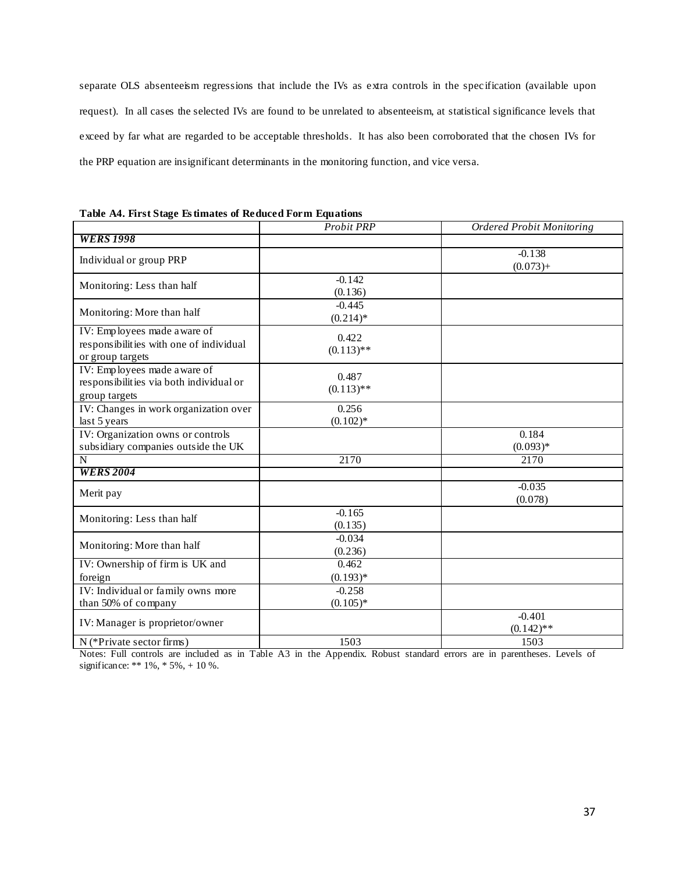separate OLS absenteeism regressions that include the IVs as extra controls in the spec ification (available upon request). In all cases the selected IVs are found to be unrelated to absenteeism, at statistical significance levels that exceed by far what are regarded to be acceptable thresholds. It has also been corroborated that the chosen IVs for the PRP equation are insignificant determinants in the monitoring function, and vice versa.

|                                                                        | <b>Probit PRP</b> | <b>Ordered Probit Monitoring</b> |
|------------------------------------------------------------------------|-------------------|----------------------------------|
| <b>WERS 1998</b>                                                       |                   |                                  |
| Individual or group PRP                                                |                   | $-0.138$                         |
|                                                                        |                   | $(0.073) +$                      |
| Monitoring: Less than half                                             | $-0.142$          |                                  |
|                                                                        | (0.136)           |                                  |
| Monitoring: More than half                                             | $-0.445$          |                                  |
|                                                                        | $(0.214)$ *       |                                  |
| IV: Employees made aware of                                            | 0.422             |                                  |
| responsibilities with one of individual                                | $(0.113)$ **      |                                  |
| or group targets                                                       |                   |                                  |
| IV: Employees made aware of<br>responsibilities via both individual or | 0.487             |                                  |
| group targets                                                          | $(0.113)$ **      |                                  |
| IV: Changes in work organization over                                  | 0.256             |                                  |
| last 5 years                                                           | $(0.102)*$        |                                  |
| IV: Organization owns or controls                                      |                   | 0.184                            |
| subsidiary companies outside the UK                                    |                   | $(0.093)*$                       |
| $\mathbf N$                                                            | 2170              | 2170                             |
| <b>WERS 2004</b>                                                       |                   |                                  |
| Merit pay                                                              |                   | $-0.035$                         |
|                                                                        |                   | (0.078)                          |
| Monitoring: Less than half                                             | $-0.165$          |                                  |
|                                                                        | (0.135)           |                                  |
| Monitoring: More than half                                             | $-0.034$          |                                  |
|                                                                        | (0.236)           |                                  |
| IV: Ownership of firm is UK and                                        | 0.462             |                                  |
| foreign                                                                | $(0.193)*$        |                                  |
| IV: Individual or family owns more                                     | $-0.258$          |                                  |
| than 50% of company                                                    | $(0.105)$ *       |                                  |
| IV: Manager is proprietor/owner                                        |                   | $-0.401$                         |
|                                                                        |                   | $(0.142)$ **                     |
| N (*Private sector firms)                                              | 1503              | 1503                             |

**Table A4. First Stage Es timates of Reduced Form Equations**

Notes: Full controls are included as in Table A3 in the Appendix. Robust standard errors are in parentheses. Levels of significance: \*\* 1%, \* 5%, + 10 %.